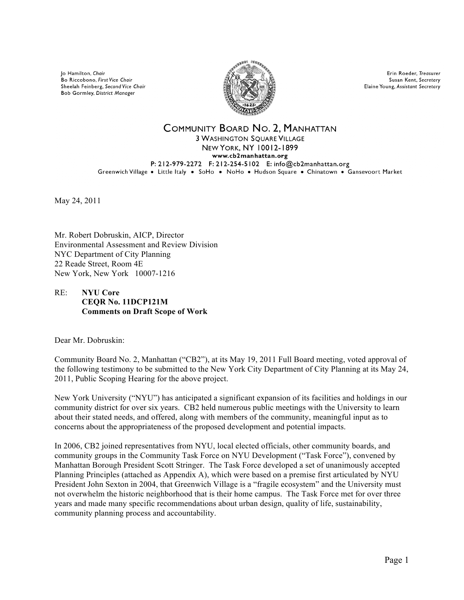lo Hamilton, Chair Bo Riccobono, First Vice Chair Sheelah Feinberg, Second Vice Chair Bob Gormley, District Manager



**Frin Roeder Treasurer** Susan Kent, Secretary Elaine Young, Assistant Secretary

### COMMUNITY BOARD NO. 2, MANHATTAN **3 WASHINGTON SOUARE VILLAGE** NEW YORK, NY 10012-1899 www.cb2manhattan.org P: 212-979-2272 F: 212-254-5102 E: info@cb2manhattan.org Greenwich Village . Little Italy . SoHo . NoHo . Hudson Square . Chinatown . Gansevoort Market

May 24, 2011

Mr. Robert Dobruskin, AICP, Director Environmental Assessment and Review Division NYC Department of City Planning 22 Reade Street, Room 4E New York, New York 10007-1216

## RE: **NYU Core CEQR No. 11DCP121M Comments on Draft Scope of Work**

Dear Mr. Dobruskin:

Community Board No. 2, Manhattan ("CB2"), at its May 19, 2011 Full Board meeting, voted approval of the following testimony to be submitted to the New York City Department of City Planning at its May 24, 2011, Public Scoping Hearing for the above project.

New York University ("NYU") has anticipated a significant expansion of its facilities and holdings in our community district for over six years. CB2 held numerous public meetings with the University to learn about their stated needs, and offered, along with members of the community, meaningful input as to concerns about the appropriateness of the proposed development and potential impacts.

In 2006, CB2 joined representatives from NYU, local elected officials, other community boards, and community groups in the Community Task Force on NYU Development ("Task Force"), convened by Manhattan Borough President Scott Stringer. The Task Force developed a set of unanimously accepted Planning Principles (attached as Appendix A), which were based on a premise first articulated by NYU President John Sexton in 2004, that Greenwich Village is a "fragile ecosystem" and the University must not overwhelm the historic neighborhood that is their home campus. The Task Force met for over three years and made many specific recommendations about urban design, quality of life, sustainability, community planning process and accountability.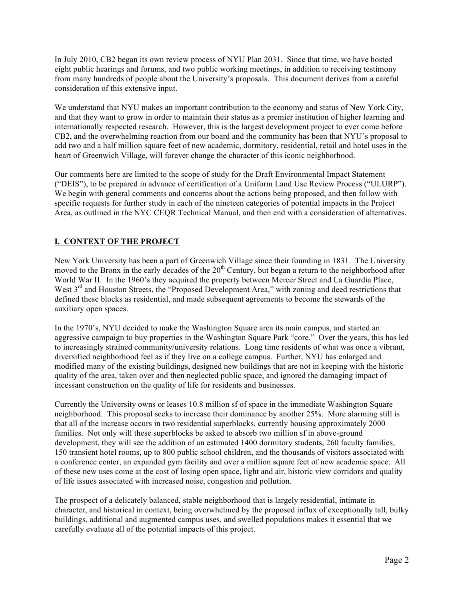In July 2010, CB2 began its own review process of NYU Plan 2031. Since that time, we have hosted eight public hearings and forums, and two public working meetings, in addition to receiving testimony from many hundreds of people about the University's proposals. This document derives from a careful consideration of this extensive input.

We understand that NYU makes an important contribution to the economy and status of New York City, and that they want to grow in order to maintain their status as a premier institution of higher learning and internationally respected research. However, this is the largest development project to ever come before CB2, and the overwhelming reaction from our board and the community has been that NYU's proposal to add two and a half million square feet of new academic, dormitory, residential, retail and hotel uses in the heart of Greenwich Village, will forever change the character of this iconic neighborhood.

Our comments here are limited to the scope of study for the Draft Environmental Impact Statement ("DEIS"), to be prepared in advance of certification of a Uniform Land Use Review Process ("ULURP"). We begin with general comments and concerns about the actions being proposed, and then follow with specific requests for further study in each of the nineteen categories of potential impacts in the Project Area, as outlined in the NYC CEQR Technical Manual, and then end with a consideration of alternatives.

# **I. CONTEXT OF THE PROJECT**

New York University has been a part of Greenwich Village since their founding in 1831. The University moved to the Bronx in the early decades of the  $20<sup>th</sup>$  Century, but began a return to the neighborhood after World War II. In the 1960's they acquired the property between Mercer Street and La Guardia Place, West 3<sup>rd</sup> and Houston Streets, the "Proposed Development Area," with zoning and deed restrictions that defined these blocks as residential, and made subsequent agreements to become the stewards of the auxiliary open spaces.

In the 1970's, NYU decided to make the Washington Square area its main campus, and started an aggressive campaign to buy properties in the Washington Square Park "core." Over the years, this has led to increasingly strained community/university relations. Long time residents of what was once a vibrant, diversified neighborhood feel as if they live on a college campus. Further, NYU has enlarged and modified many of the existing buildings, designed new buildings that are not in keeping with the historic quality of the area, taken over and then neglected public space, and ignored the damaging impact of incessant construction on the quality of life for residents and businesses.

Currently the University owns or leases 10.8 million sf of space in the immediate Washington Square neighborhood. This proposal seeks to increase their dominance by another 25%. More alarming still is that all of the increase occurs in two residential superblocks, currently housing approximately 2000 families. Not only will these superblocks be asked to absorb two million sf in above-ground development, they will see the addition of an estimated 1400 dormitory students, 260 faculty families, 150 transient hotel rooms, up to 800 public school children, and the thousands of visitors associated with a conference center, an expanded gym facility and over a million square feet of new academic space. All of these new uses come at the cost of losing open space, light and air, historic view corridors and quality of life issues associated with increased noise, congestion and pollution.

The prospect of a delicately balanced, stable neighborhood that is largely residential, intimate in character, and historical in context, being overwhelmed by the proposed influx of exceptionally tall, bulky buildings, additional and augmented campus uses, and swelled populations makes it essential that we carefully evaluate all of the potential impacts of this project.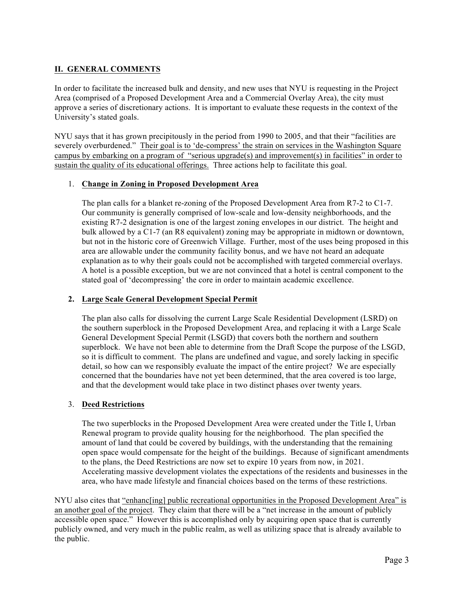# **II. GENERAL COMMENTS**

In order to facilitate the increased bulk and density, and new uses that NYU is requesting in the Project Area (comprised of a Proposed Development Area and a Commercial Overlay Area), the city must approve a series of discretionary actions. It is important to evaluate these requests in the context of the University's stated goals.

NYU says that it has grown precipitously in the period from 1990 to 2005, and that their "facilities are severely overburdened." Their goal is to 'de-compress' the strain on services in the Washington Square campus by embarking on a program of "serious upgrade(s) and improvement(s) in facilities" in order to sustain the quality of its educational offerings. Three actions help to facilitate this goal.

## 1. **Change in Zoning in Proposed Development Area**

The plan calls for a blanket re-zoning of the Proposed Development Area from R7-2 to C1-7. Our community is generally comprised of low-scale and low-density neighborhoods, and the existing R7-2 designation is one of the largest zoning envelopes in our district. The height and bulk allowed by a C1-7 (an R8 equivalent) zoning may be appropriate in midtown or downtown, but not in the historic core of Greenwich Village. Further, most of the uses being proposed in this area are allowable under the community facility bonus, and we have not heard an adequate explanation as to why their goals could not be accomplished with targeted commercial overlays. A hotel is a possible exception, but we are not convinced that a hotel is central component to the stated goal of 'decompressing' the core in order to maintain academic excellence.

## **2. Large Scale General Development Special Permit**

The plan also calls for dissolving the current Large Scale Residential Development (LSRD) on the southern superblock in the Proposed Development Area, and replacing it with a Large Scale General Development Special Permit (LSGD) that covers both the northern and southern superblock. We have not been able to determine from the Draft Scope the purpose of the LSGD, so it is difficult to comment. The plans are undefined and vague, and sorely lacking in specific detail, so how can we responsibly evaluate the impact of the entire project? We are especially concerned that the boundaries have not yet been determined, that the area covered is too large, and that the development would take place in two distinct phases over twenty years.

## 3. **Deed Restrictions**

The two superblocks in the Proposed Development Area were created under the Title I, Urban Renewal program to provide quality housing for the neighborhood. The plan specified the amount of land that could be covered by buildings, with the understanding that the remaining open space would compensate for the height of the buildings. Because of significant amendments to the plans, the Deed Restrictions are now set to expire 10 years from now, in 2021. Accelerating massive development violates the expectations of the residents and businesses in the area, who have made lifestyle and financial choices based on the terms of these restrictions.

NYU also cites that "enhanc[ing] public recreational opportunities in the Proposed Development Area" is an another goal of the project. They claim that there will be a "net increase in the amount of publicly accessible open space." However this is accomplished only by acquiring open space that is currently publicly owned, and very much in the public realm, as well as utilizing space that is already available to the public.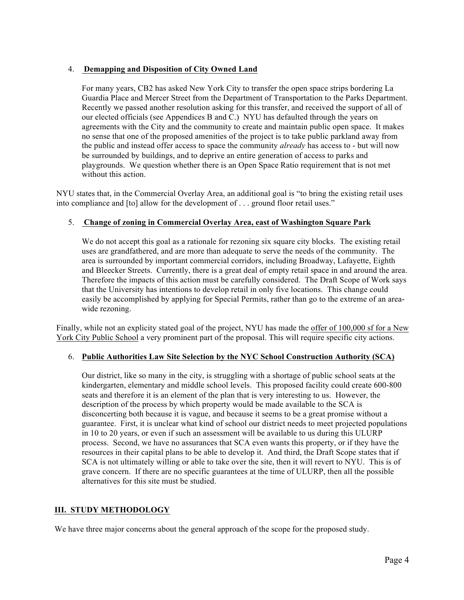## 4. **Demapping and Disposition of City Owned Land**

For many years, CB2 has asked New York City to transfer the open space strips bordering La Guardia Place and Mercer Street from the Department of Transportation to the Parks Department. Recently we passed another resolution asking for this transfer, and received the support of all of our elected officials (see Appendices B and C.) NYU has defaulted through the years on agreements with the City and the community to create and maintain public open space. It makes no sense that one of the proposed amenities of the project is to take public parkland away from the public and instead offer access to space the community *already* has access to - but will now be surrounded by buildings, and to deprive an entire generation of access to parks and playgrounds. We question whether there is an Open Space Ratio requirement that is not met without this action.

NYU states that, in the Commercial Overlay Area, an additional goal is "to bring the existing retail uses into compliance and [to] allow for the development of . . . ground floor retail uses."

## 5. **Change of zoning in Commercial Overlay Area, east of Washington Square Park**

We do not accept this goal as a rationale for rezoning six square city blocks. The existing retail uses are grandfathered, and are more than adequate to serve the needs of the community. The area is surrounded by important commercial corridors, including Broadway, Lafayette, Eighth and Bleecker Streets. Currently, there is a great deal of empty retail space in and around the area. Therefore the impacts of this action must be carefully considered. The Draft Scope of Work says that the University has intentions to develop retail in only five locations. This change could easily be accomplished by applying for Special Permits, rather than go to the extreme of an areawide rezoning.

Finally, while not an explicity stated goal of the project, NYU has made the offer of 100,000 sf for a New York City Public School a very prominent part of the proposal. This will require specific city actions.

## 6. **Public Authorities Law Site Selection by the NYC School Construction Authority (SCA)**

Our district, like so many in the city, is struggling with a shortage of public school seats at the kindergarten, elementary and middle school levels. This proposed facility could create 600-800 seats and therefore it is an element of the plan that is very interesting to us. However, the description of the process by which property would be made available to the SCA is disconcerting both because it is vague, and because it seems to be a great promise without a guarantee. First, it is unclear what kind of school our district needs to meet projected populations in 10 to 20 years, or even if such an assessment will be available to us during this ULURP process. Second, we have no assurances that SCA even wants this property, or if they have the resources in their capital plans to be able to develop it. And third, the Draft Scope states that if SCA is not ultimately willing or able to take over the site, then it will revert to NYU. This is of grave concern. If there are no specific guarantees at the time of ULURP, then all the possible alternatives for this site must be studied.

# **III. STUDY METHODOLOGY**

We have three major concerns about the general approach of the scope for the proposed study.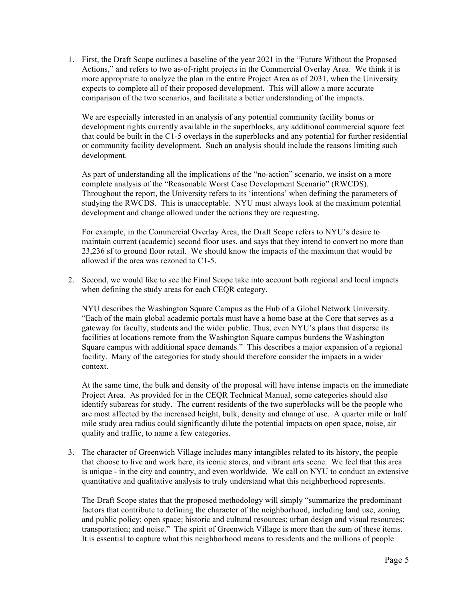1. First, the Draft Scope outlines a baseline of the year 2021 in the "Future Without the Proposed Actions," and refers to two as-of-right projects in the Commercial Overlay Area. We think it is more appropriate to analyze the plan in the entire Project Area as of 2031, when the University expects to complete all of their proposed development. This will allow a more accurate comparison of the two scenarios, and facilitate a better understanding of the impacts.

We are especially interested in an analysis of any potential community facility bonus or development rights currently available in the superblocks, any additional commercial square feet that could be built in the C1-5 overlays in the superblocks and any potential for further residential or community facility development. Such an analysis should include the reasons limiting such development.

As part of understanding all the implications of the "no-action" scenario, we insist on a more complete analysis of the "Reasonable Worst Case Development Scenario" (RWCDS). Throughout the report, the University refers to its 'intentions' when defining the parameters of studying the RWCDS. This is unacceptable. NYU must always look at the maximum potential development and change allowed under the actions they are requesting.

For example, in the Commercial Overlay Area, the Draft Scope refers to NYU's desire to maintain current (academic) second floor uses, and says that they intend to convert no more than 23,236 sf to ground floor retail. We should know the impacts of the maximum that would be allowed if the area was rezoned to C1-5.

2. Second, we would like to see the Final Scope take into account both regional and local impacts when defining the study areas for each CEQR category.

NYU describes the Washington Square Campus as the Hub of a Global Network University. "Each of the main global academic portals must have a home base at the Core that serves as a gateway for faculty, students and the wider public. Thus, even NYU's plans that disperse its facilities at locations remote from the Washington Square campus burdens the Washington Square campus with additional space demands." This describes a major expansion of a regional facility. Many of the categories for study should therefore consider the impacts in a wider context.

At the same time, the bulk and density of the proposal will have intense impacts on the immediate Project Area. As provided for in the CEQR Technical Manual, some categories should also identify subareas for study. The current residents of the two superblocks will be the people who are most affected by the increased height, bulk, density and change of use. A quarter mile or half mile study area radius could significantly dilute the potential impacts on open space, noise, air quality and traffic, to name a few categories.

3. The character of Greenwich Village includes many intangibles related to its history, the people that choose to live and work here, its iconic stores, and vibrant arts scene. We feel that this area is unique - in the city and country, and even worldwide. We call on NYU to conduct an extensive quantitative and qualitative analysis to truly understand what this neighborhood represents.

The Draft Scope states that the proposed methodology will simply "summarize the predominant factors that contribute to defining the character of the neighborhood, including land use, zoning and public policy; open space; historic and cultural resources; urban design and visual resources; transportation; and noise." The spirit of Greenwich Village is more than the sum of these items. It is essential to capture what this neighborhood means to residents and the millions of people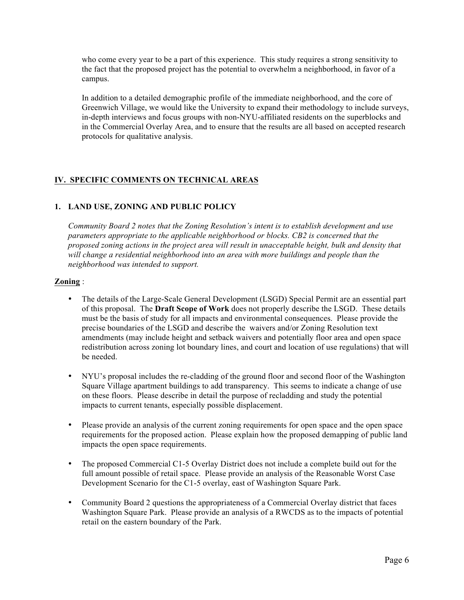who come every year to be a part of this experience. This study requires a strong sensitivity to the fact that the proposed project has the potential to overwhelm a neighborhood, in favor of a campus.

In addition to a detailed demographic profile of the immediate neighborhood, and the core of Greenwich Village, we would like the University to expand their methodology to include surveys, in-depth interviews and focus groups with non-NYU-affiliated residents on the superblocks and in the Commercial Overlay Area, and to ensure that the results are all based on accepted research protocols for qualitative analysis.

# **IV. SPECIFIC COMMENTS ON TECHNICAL AREAS**

# **1. LAND USE, ZONING AND PUBLIC POLICY**

*Community Board 2 notes that the Zoning Resolution's intent is to establish development and use parameters appropriate to the applicable neighborhood or blocks. CB2 is concerned that the proposed zoning actions in the project area will result in unacceptable height, bulk and density that will change a residential neighborhood into an area with more buildings and people than the neighborhood was intended to support.*

# **Zoning** :

- The details of the Large-Scale General Development (LSGD) Special Permit are an essential part of this proposal. The **Draft Scope of Work** does not properly describe the LSGD. These details must be the basis of study for all impacts and environmental consequences. Please provide the precise boundaries of the LSGD and describe the waivers and/or Zoning Resolution text amendments (may include height and setback waivers and potentially floor area and open space redistribution across zoning lot boundary lines, and court and location of use regulations) that will be needed.
- NYU's proposal includes the re-cladding of the ground floor and second floor of the Washington Square Village apartment buildings to add transparency. This seems to indicate a change of use on these floors. Please describe in detail the purpose of recladding and study the potential impacts to current tenants, especially possible displacement.
- Please provide an analysis of the current zoning requirements for open space and the open space requirements for the proposed action. Please explain how the proposed demapping of public land impacts the open space requirements.
- The proposed Commercial C1-5 Overlay District does not include a complete build out for the full amount possible of retail space. Please provide an analysis of the Reasonable Worst Case Development Scenario for the C1-5 overlay, east of Washington Square Park.
- Community Board 2 questions the appropriateness of a Commercial Overlay district that faces Washington Square Park. Please provide an analysis of a RWCDS as to the impacts of potential retail on the eastern boundary of the Park.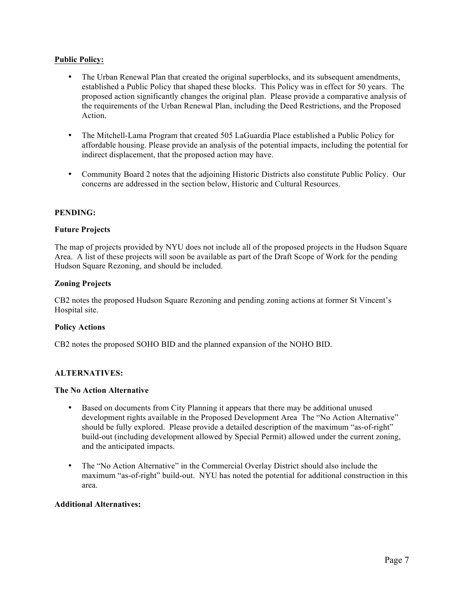## **Public Policy:**

- The Urban Renewal Plan that created the original superblocks, and its subsequent amendments, established a Public Policy that shaped these blocks. This Policy was in effect for 50 years. The proposed action significantly changes the original plan. Please provide a comparative analysis of the requirements of the Urban Renewal Plan, including the Deed Restrictions, and the Proposed Action.
- The Mitchell-Lama Program that created 505 LaGuardia Place established a Public Policy for affordable housing. Please provide an analysis of the potential impacts, including the potential for indirect displacement, that the proposed action may have.
- Community Board 2 notes that the adjoining Historic Districts also constitute Public Policy. Our concerns are addressed in the section below, Historic and Cultural Resources.

## **PENDING:**

### **Future Projects**

The map of projects provided by NYU does not include all of the proposed projects in the Hudson Square Area. A list of these projects will soon be available as part of the Draft Scope of Work for the pending Hudson Square Rezoning, and should be included.

## **Zoning Projects**

CB2 notes the proposed Hudson Square Rezoning and pending zoning actions at former St Vincent's Hospital site.

### **Policy Actions**

CB2 notes the proposed SOHO BID and the planned expansion of the NOHO BID.

### **ALTERNATIVES:**

#### **The No Action Alternative**

- Based on documents from City Planning it appears that there may be additional unused development rights available in the Proposed Development Area The "No Action Alternative" should be fully explored. Please provide a detailed description of the maximum "as-of-right" build-out (including development allowed by Special Permit) allowed under the current zoning, and the anticipated impacts.
- The "No Action Alternative" in the Commercial Overlay District should also include the maximum "as-of-right" build-out. NYU has noted the potential for additional construction in this area.

### **Additional Alternatives:**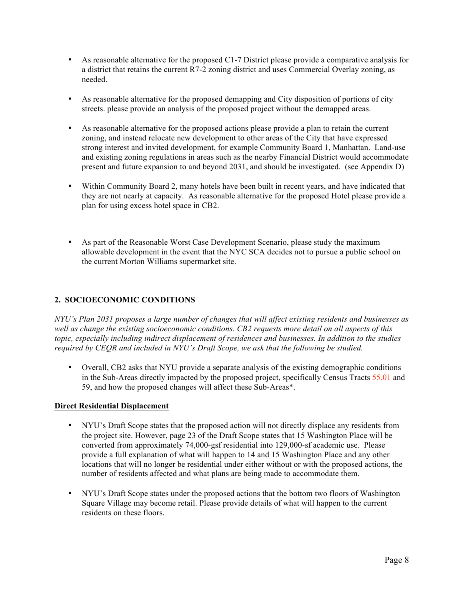- As reasonable alternative for the proposed C1-7 District please provide a comparative analysis for a district that retains the current R7-2 zoning district and uses Commercial Overlay zoning, as needed.
- As reasonable alternative for the proposed demapping and City disposition of portions of city streets. please provide an analysis of the proposed project without the demapped areas.
- As reasonable alternative for the proposed actions please provide a plan to retain the current zoning, and instead relocate new development to other areas of the City that have expressed strong interest and invited development, for example Community Board 1, Manhattan. Land-use and existing zoning regulations in areas such as the nearby Financial District would accommodate present and future expansion to and beyond 2031, and should be investigated. (see Appendix D)
- Within Community Board 2, many hotels have been built in recent years, and have indicated that they are not nearly at capacity. As reasonable alternative for the proposed Hotel please provide a plan for using excess hotel space in CB2.
- As part of the Reasonable Worst Case Development Scenario, please study the maximum allowable development in the event that the NYC SCA decides not to pursue a public school on the current Morton Williams supermarket site.

# **2. SOCIOECONOMIC CONDITIONS**

*NYU's Plan 2031 proposes a large number of changes that will affect existing residents and businesses as well as change the existing socioeconomic conditions. CB2 requests more detail on all aspects of this topic, especially including indirect displacement of residences and businesses. In addition to the studies required by CEQR and included in NYU's Draft Scope, we ask that the following be studied.* 

• Overall, CB2 asks that NYU provide a separate analysis of the existing demographic conditions in the Sub-Areas directly impacted by the proposed project, specifically Census Tracts 55.01 and 59, and how the proposed changes will affect these Sub-Areas\*.

## **Direct Residential Displacement**

- NYU's Draft Scope states that the proposed action will not directly displace any residents from the project site. However, page 23 of the Draft Scope states that 15 Washington Place will be converted from approximately 74,000-gsf residential into 129,000-sf academic use. Please provide a full explanation of what will happen to 14 and 15 Washington Place and any other locations that will no longer be residential under either without or with the proposed actions, the number of residents affected and what plans are being made to accommodate them.
- NYU's Draft Scope states under the proposed actions that the bottom two floors of Washington Square Village may become retail. Please provide details of what will happen to the current residents on these floors.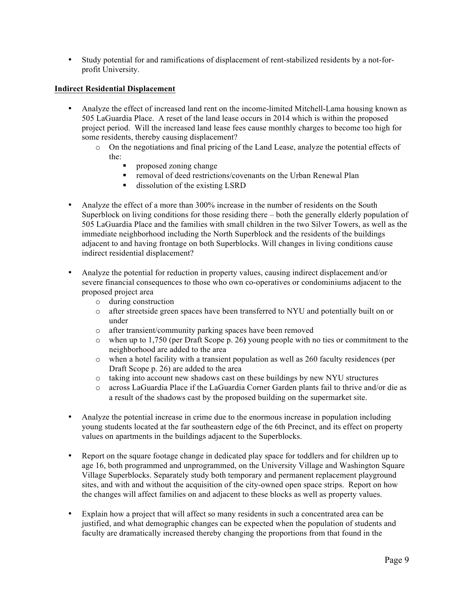• Study potential for and ramifications of displacement of rent-stabilized residents by a not-forprofit University.

## **Indirect Residential Displacement**

- Analyze the effect of increased land rent on the income-limited Mitchell-Lama housing known as 505 LaGuardia Place. A reset of the land lease occurs in 2014 which is within the proposed project period. Will the increased land lease fees cause monthly charges to become too high for some residents, thereby causing displacement?
	- o On the negotiations and final pricing of the Land Lease, analyze the potential effects of the:
		- **Proposed zoning change**
		- removal of deed restrictions/covenants on the Urban Renewal Plan
		- dissolution of the existing LSRD
- Analyze the effect of a more than 300% increase in the number of residents on the South Superblock on living conditions for those residing there – both the generally elderly population of 505 LaGuardia Place and the families with small children in the two Silver Towers, as well as the immediate neighborhood including the North Superblock and the residents of the buildings adjacent to and having frontage on both Superblocks. Will changes in living conditions cause indirect residential displacement?
- Analyze the potential for reduction in property values, causing indirect displacement and/or severe financial consequences to those who own co-operatives or condominiums adjacent to the proposed project area
	- o during construction
	- o after streetside green spaces have been transferred to NYU and potentially built on or under
	- o after transient/community parking spaces have been removed
	- o when up to 1,750 (per Draft Scope p. 26**)** young people with no ties or commitment to the neighborhood are added to the area
	- o when a hotel facility with a transient population as well as 260 faculty residences (per Draft Scope p. 26) are added to the area
	- o taking into account new shadows cast on these buildings by new NYU structures
	- o across LaGuardia Place if the LaGuardia Corner Garden plants fail to thrive and/or die as a result of the shadows cast by the proposed building on the supermarket site.
- Analyze the potential increase in crime due to the enormous increase in population including young students located at the far southeastern edge of the 6th Precinct, and its effect on property values on apartments in the buildings adjacent to the Superblocks.
- Report on the square footage change in dedicated play space for toddlers and for children up to age 16, both programmed and unprogrammed, on the University Village and Washington Square Village Superblocks. Separately study both temporary and permanent replacement playground sites, and with and without the acquisition of the city-owned open space strips. Report on how the changes will affect families on and adjacent to these blocks as well as property values.
- Explain how a project that will affect so many residents in such a concentrated area can be justified, and what demographic changes can be expected when the population of students and faculty are dramatically increased thereby changing the proportions from that found in the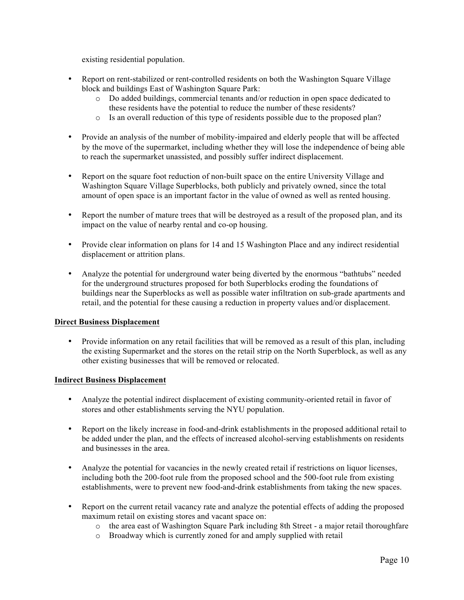existing residential population.

- Report on rent-stabilized or rent-controlled residents on both the Washington Square Village block and buildings East of Washington Square Park:
	- o Do added buildings, commercial tenants and/or reduction in open space dedicated to these residents have the potential to reduce the number of these residents?
	- o Is an overall reduction of this type of residents possible due to the proposed plan?
- Provide an analysis of the number of mobility-impaired and elderly people that will be affected by the move of the supermarket, including whether they will lose the independence of being able to reach the supermarket unassisted, and possibly suffer indirect displacement.
- Report on the square foot reduction of non-built space on the entire University Village and Washington Square Village Superblocks, both publicly and privately owned, since the total amount of open space is an important factor in the value of owned as well as rented housing.
- Report the number of mature trees that will be destroyed as a result of the proposed plan, and its impact on the value of nearby rental and co-op housing.
- Provide clear information on plans for 14 and 15 Washington Place and any indirect residential displacement or attrition plans.
- Analyze the potential for underground water being diverted by the enormous "bathtubs" needed for the underground structures proposed for both Superblocks eroding the foundations of buildings near the Superblocks as well as possible water infiltration on sub-grade apartments and retail, and the potential for these causing a reduction in property values and/or displacement.

## **Direct Business Displacement**

• Provide information on any retail facilities that will be removed as a result of this plan, including the existing Supermarket and the stores on the retail strip on the North Superblock, as well as any other existing businesses that will be removed or relocated.

## **Indirect Business Displacement**

- Analyze the potential indirect displacement of existing community-oriented retail in favor of stores and other establishments serving the NYU population.
- Report on the likely increase in food-and-drink establishments in the proposed additional retail to be added under the plan, and the effects of increased alcohol-serving establishments on residents and businesses in the area.
- Analyze the potential for vacancies in the newly created retail if restrictions on liquor licenses, including both the 200-foot rule from the proposed school and the 500-foot rule from existing establishments, were to prevent new food-and-drink establishments from taking the new spaces.
- Report on the current retail vacancy rate and analyze the potential effects of adding the proposed maximum retail on existing stores and vacant space on:
	- o the area east of Washington Square Park including 8th Street a major retail thoroughfare
	- o Broadway which is currently zoned for and amply supplied with retail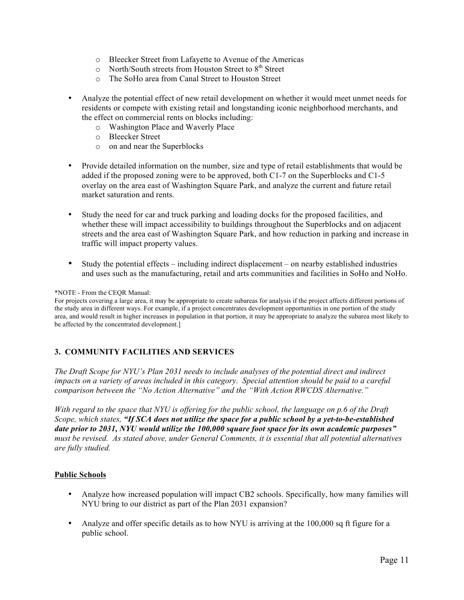- o Bleecker Street from Lafayette to Avenue of the Americas
- $\circ$  North/South streets from Houston Street to  $8<sup>th</sup>$  Street
- o The SoHo area from Canal Street to Houston Street
- Analyze the potential effect of new retail development on whether it would meet unmet needs for residents or compete with existing retail and longstanding iconic neighborhood merchants, and the effect on commercial rents on blocks including:
	- o Washington Place and Waverly Place
	- o Bleecker Street
	- o on and near the Superblocks
- Provide detailed information on the number, size and type of retail establishments that would be added if the proposed zoning were to be approved, both C1-7 on the Superblocks and C1-5 overlay on the area east of Washington Square Park, and analyze the current and future retail market saturation and rents.
- Study the need for car and truck parking and loading docks for the proposed facilities, and whether these will impact accessibility to buildings throughout the Superblocks and on adjacent streets and the area east of Washington Square Park, and how reduction in parking and increase in traffic will impact property values.
- Study the potential effects including indirect displacement on nearby established industries and uses such as the manufacturing, retail and arts communities and facilities in SoHo and NoHo.

#### \*NOTE - From the CEQR Manual:

For projects covering a large area, it may be appropriate to create subareas for analysis if the project affects different portions of the study area in different ways. For example, if a project concentrates development opportunities in one portion of the study area, and would result in higher increases in population in that portion, it may be appropriate to analyze the subarea most likely to be affected by the concentrated development.]

# **3. COMMUNITY FACILITIES AND SERVICES**

*The Draft Scope for NYU's Plan 2031 needs to include analyses of the potential direct and indirect impacts on a variety of areas included in this category. Special attention should be paid to a careful comparison between the "No Action Alternative" and the "With Action RWCDS Alternative."*

*With regard to the space that NYU is offering for the public school, the language on p.6 of the Draft Scope, which states, "If SCA does not utilize the space for a public school by a yet-to-be-established date prior to 2031, NYU would utilize the 100,000 square foot space for its own academic purposes" must be revised. As stated above, under General Comments, it is essential that all potential alternatives are fully studied.*

## **Public Schools**

- Analyze how increased population will impact CB2 schools. Specifically, how many families will NYU bring to our district as part of the Plan 2031 expansion?
- Analyze and offer specific details as to how NYU is arriving at the 100,000 sq ft figure for a public school.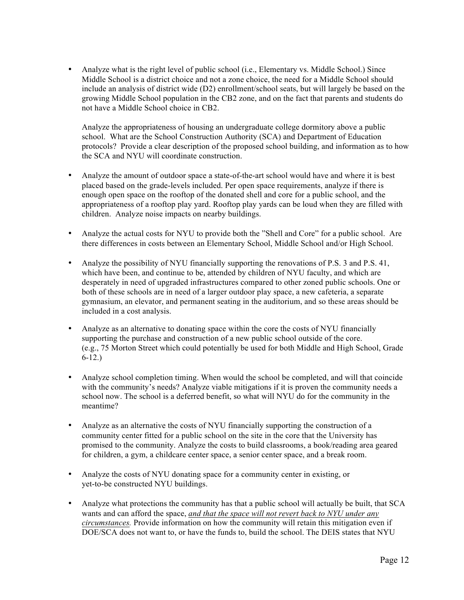• Analyze what is the right level of public school (i.e., Elementary vs. Middle School.) Since Middle School is a district choice and not a zone choice, the need for a Middle School should include an analysis of district wide (D2) enrollment/school seats, but will largely be based on the growing Middle School population in the CB2 zone, and on the fact that parents and students do not have a Middle School choice in CB2.

Analyze the appropriateness of housing an undergraduate college dormitory above a public school. What are the School Construction Authority (SCA) and Department of Education protocols? Provide a clear description of the proposed school building, and information as to how the SCA and NYU will coordinate construction.

- Analyze the amount of outdoor space a state-of-the-art school would have and where it is best placed based on the grade-levels included. Per open space requirements, analyze if there is enough open space on the rooftop of the donated shell and core for a public school, and the appropriateness of a rooftop play yard. Rooftop play yards can be loud when they are filled with children. Analyze noise impacts on nearby buildings.
- Analyze the actual costs for NYU to provide both the "Shell and Core" for a public school. Are there differences in costs between an Elementary School, Middle School and/or High School.
- Analyze the possibility of NYU financially supporting the renovations of P.S. 3 and P.S. 41, which have been, and continue to be, attended by children of NYU faculty, and which are desperately in need of upgraded infrastructures compared to other zoned public schools. One or both of these schools are in need of a larger outdoor play space, a new cafeteria, a separate gymnasium, an elevator, and permanent seating in the auditorium, and so these areas should be included in a cost analysis.
- Analyze as an alternative to donating space within the core the costs of NYU financially supporting the purchase and construction of a new public school outside of the core. (e.g., 75 Morton Street which could potentially be used for both Middle and High School, Grade 6-12.)
- Analyze school completion timing. When would the school be completed, and will that coincide with the community's needs? Analyze viable mitigations if it is proven the community needs a school now. The school is a deferred benefit, so what will NYU do for the community in the meantime?
- Analyze as an alternative the costs of NYU financially supporting the construction of a community center fitted for a public school on the site in the core that the University has promised to the community. Analyze the costs to build classrooms, a book/reading area geared for children, a gym, a childcare center space, a senior center space, and a break room.
- Analyze the costs of NYU donating space for a community center in existing, or yet-to-be constructed NYU buildings.
- Analyze what protections the community has that a public school will actually be built, that SCA wants and can afford the space, *and that the space will not revert back to NYU under any circumstances.* Provide information on how the community will retain this mitigation even if DOE/SCA does not want to, or have the funds to, build the school. The DEIS states that NYU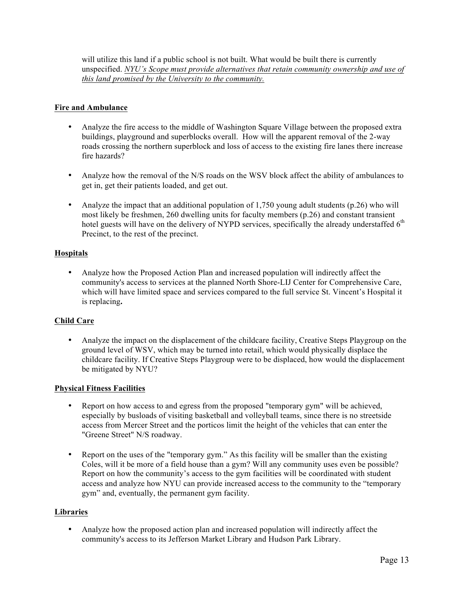will utilize this land if a public school is not built. What would be built there is currently unspecified. *NYU's Scope must provide alternatives that retain community ownership and use of this land promised by the University to the community.*

## **Fire and Ambulance**

- Analyze the fire access to the middle of Washington Square Village between the proposed extra buildings, playground and superblocks overall. How will the apparent removal of the 2-way roads crossing the northern superblock and loss of access to the existing fire lanes there increase fire hazards?
- Analyze how the removal of the N/S roads on the WSV block affect the ability of ambulances to get in, get their patients loaded, and get out.
- Analyze the impact that an additional population of 1,750 young adult students (p.26) who will most likely be freshmen, 260 dwelling units for faculty members (p.26) and constant transient hotel guests will have on the delivery of NYPD services, specifically the already understaffed  $6<sup>th</sup>$ Precinct, to the rest of the precinct.

# **Hospitals**

• Analyze how the Proposed Action Plan and increased population will indirectly affect the community's access to services at the planned North Shore-LIJ Center for Comprehensive Care, which will have limited space and services compared to the full service St. Vincent's Hospital it is replacing**.** 

## **Child Care**

• Analyze the impact on the displacement of the childcare facility, Creative Steps Playgroup on the ground level of WSV, which may be turned into retail, which would physically displace the childcare facility. If Creative Steps Playgroup were to be displaced, how would the displacement be mitigated by NYU?

## **Physical Fitness Facilities**

- Report on how access to and egress from the proposed "temporary gym" will be achieved, especially by busloads of visiting basketball and volleyball teams, since there is no streetside access from Mercer Street and the porticos limit the height of the vehicles that can enter the "Greene Street" N/S roadway.
- Report on the uses of the "temporary gym." As this facility will be smaller than the existing Coles, will it be more of a field house than a gym? Will any community uses even be possible? Report on how the community's access to the gym facilities will be coordinated with student access and analyze how NYU can provide increased access to the community to the "temporary gym" and, eventually, the permanent gym facility.

## **Libraries**

• Analyze how the proposed action plan and increased population will indirectly affect the community's access to its Jefferson Market Library and Hudson Park Library.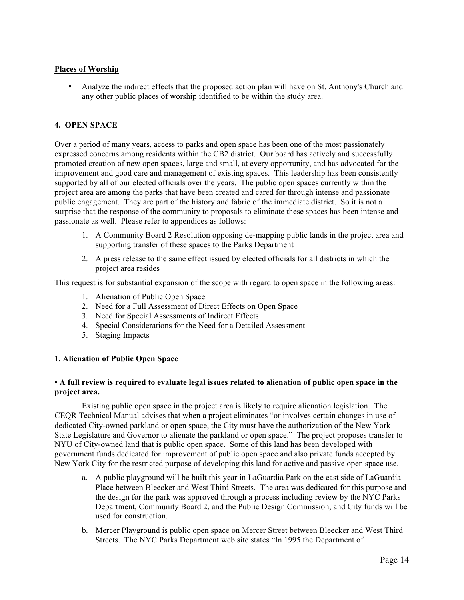## **Places of Worship**

• Analyze the indirect effects that the proposed action plan will have on St. Anthony's Church and any other public places of worship identified to be within the study area.

# **4. OPEN SPACE**

Over a period of many years, access to parks and open space has been one of the most passionately expressed concerns among residents within the CB2 district. Our board has actively and successfully promoted creation of new open spaces, large and small, at every opportunity, and has advocated for the improvement and good care and management of existing spaces. This leadership has been consistently supported by all of our elected officials over the years. The public open spaces currently within the project area are among the parks that have been created and cared for through intense and passionate public engagement. They are part of the history and fabric of the immediate district. So it is not a surprise that the response of the community to proposals to eliminate these spaces has been intense and passionate as well. Please refer to appendices as follows:

- 1. A Community Board 2 Resolution opposing de-mapping public lands in the project area and supporting transfer of these spaces to the Parks Department
- 2. A press release to the same effect issued by elected officials for all districts in which the project area resides

This request is for substantial expansion of the scope with regard to open space in the following areas:

- 1. Alienation of Public Open Space
- 2. Need for a Full Assessment of Direct Effects on Open Space
- 3. Need for Special Assessments of Indirect Effects
- 4. Special Considerations for the Need for a Detailed Assessment
- 5. Staging Impacts

## **1. Alienation of Public Open Space**

## **• A full review is required to evaluate legal issues related to alienation of public open space in the project area.**

Existing public open space in the project area is likely to require alienation legislation. The CEQR Technical Manual advises that when a project eliminates "or involves certain changes in use of dedicated City-owned parkland or open space, the City must have the authorization of the New York State Legislature and Governor to alienate the parkland or open space." The project proposes transfer to NYU of City-owned land that is public open space. Some of this land has been developed with government funds dedicated for improvement of public open space and also private funds accepted by New York City for the restricted purpose of developing this land for active and passive open space use.

- a. A public playground will be built this year in LaGuardia Park on the east side of LaGuardia Place between Bleecker and West Third Streets. The area was dedicated for this purpose and the design for the park was approved through a process including review by the NYC Parks Department, Community Board 2, and the Public Design Commission, and City funds will be used for construction.
- b. Mercer Playground is public open space on Mercer Street between Bleecker and West Third Streets. The NYC Parks Department web site states "In 1995 the Department of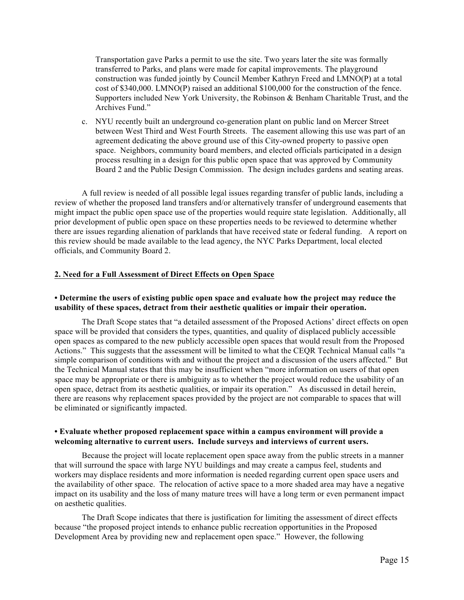Transportation gave Parks a permit to use the site. Two years later the site was formally transferred to Parks, and plans were made for capital improvements. The playground construction was funded jointly by Council Member Kathryn Freed and LMNO(P) at a total cost of \$340,000. LMNO(P) raised an additional \$100,000 for the construction of the fence. Supporters included New York University, the Robinson & Benham Charitable Trust, and the Archives Fund."

c. NYU recently built an underground co-generation plant on public land on Mercer Street between West Third and West Fourth Streets. The easement allowing this use was part of an agreement dedicating the above ground use of this City-owned property to passive open space. Neighbors, community board members, and elected officials participated in a design process resulting in a design for this public open space that was approved by Community Board 2 and the Public Design Commission. The design includes gardens and seating areas.

A full review is needed of all possible legal issues regarding transfer of public lands, including a review of whether the proposed land transfers and/or alternatively transfer of underground easements that might impact the public open space use of the properties would require state legislation. Additionally, all prior development of public open space on these properties needs to be reviewed to determine whether there are issues regarding alienation of parklands that have received state or federal funding. A report on this review should be made available to the lead agency, the NYC Parks Department, local elected officials, and Community Board 2.

## **2. Need for a Full Assessment of Direct Effects on Open Space**

## **• Determine the users of existing public open space and evaluate how the project may reduce the usability of these spaces, detract from their aesthetic qualities or impair their operation.**

The Draft Scope states that "a detailed assessment of the Proposed Actions' direct effects on open space will be provided that considers the types, quantities, and quality of displaced publicly accessible open spaces as compared to the new publicly accessible open spaces that would result from the Proposed Actions." This suggests that the assessment will be limited to what the CEQR Technical Manual calls "a simple comparison of conditions with and without the project and a discussion of the users affected." But the Technical Manual states that this may be insufficient when "more information on users of that open space may be appropriate or there is ambiguity as to whether the project would reduce the usability of an open space, detract from its aesthetic qualities, or impair its operation." As discussed in detail herein, there are reasons why replacement spaces provided by the project are not comparable to spaces that will be eliminated or significantly impacted.

## **• Evaluate whether proposed replacement space within a campus environment will provide a welcoming alternative to current users. Include surveys and interviews of current users.**

Because the project will locate replacement open space away from the public streets in a manner that will surround the space with large NYU buildings and may create a campus feel, students and workers may displace residents and more information is needed regarding current open space users and the availability of other space. The relocation of active space to a more shaded area may have a negative impact on its usability and the loss of many mature trees will have a long term or even permanent impact on aesthetic qualities.

The Draft Scope indicates that there is justification for limiting the assessment of direct effects because "the proposed project intends to enhance public recreation opportunities in the Proposed Development Area by providing new and replacement open space." However, the following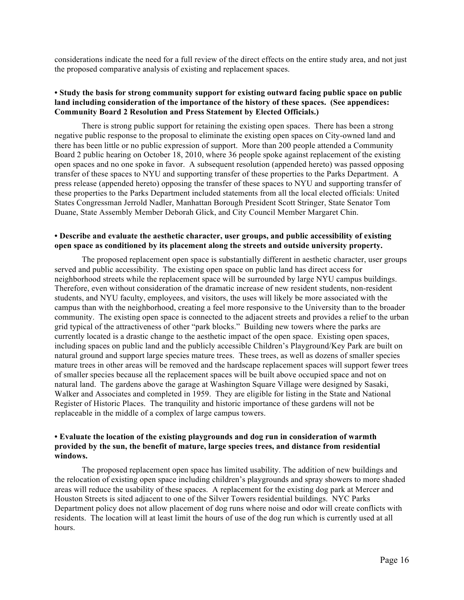considerations indicate the need for a full review of the direct effects on the entire study area, and not just the proposed comparative analysis of existing and replacement spaces.

### **• Study the basis for strong community support for existing outward facing public space on public land including consideration of the importance of the history of these spaces. (See appendices: Community Board 2 Resolution and Press Statement by Elected Officials.)**

There is strong public support for retaining the existing open spaces. There has been a strong negative public response to the proposal to eliminate the existing open spaces on City-owned land and there has been little or no public expression of support. More than 200 people attended a Community Board 2 public hearing on October 18, 2010, where 36 people spoke against replacement of the existing open spaces and no one spoke in favor. A subsequent resolution (appended hereto) was passed opposing transfer of these spaces to NYU and supporting transfer of these properties to the Parks Department. A press release (appended hereto) opposing the transfer of these spaces to NYU and supporting transfer of these properties to the Parks Department included statements from all the local elected officials: United States Congressman Jerrold Nadler, Manhattan Borough President Scott Stringer, State Senator Tom Duane, State Assembly Member Deborah Glick, and City Council Member Margaret Chin.

### **• Describe and evaluate the aesthetic character, user groups, and public accessibility of existing open space as conditioned by its placement along the streets and outside university property.**

The proposed replacement open space is substantially different in aesthetic character, user groups served and public accessibility.The existing open space on public land has direct access for neighborhood streets while the replacement space will be surrounded by large NYU campus buildings. Therefore, even without consideration of the dramatic increase of new resident students, non-resident students, and NYU faculty, employees, and visitors, the uses will likely be more associated with the campus than with the neighborhood, creating a feel more responsive to the University than to the broader community. The existing open space is connected to the adjacent streets and provides a relief to the urban grid typical of the attractiveness of other "park blocks." Building new towers where the parks are currently located is a drastic change to the aesthetic impact of the open space. Existing open spaces, including spaces on public land and the publicly accessible Children's Playground/Key Park are built on natural ground and support large species mature trees. These trees, as well as dozens of smaller species mature trees in other areas will be removed and the hardscape replacement spaces will support fewer trees of smaller species because all the replacement spaces will be built above occupied space and not on natural land. The gardens above the garage at Washington Square Village were designed by Sasaki, Walker and Associates and completed in 1959. They are eligible for listing in the State and National Register of Historic Places. The tranquility and historic importance of these gardens will not be replaceable in the middle of a complex of large campus towers.

### **• Evaluate the location of the existing playgrounds and dog run in consideration of warmth provided by the sun, the benefit of mature, large species trees, and distance from residential windows.**

The proposed replacement open space has limited usability. The addition of new buildings and the relocation of existing open space including children's playgrounds and spray showers to more shaded areas will reduce the usability of these spaces. A replacement for the existing dog park at Mercer and Houston Streets is sited adjacent to one of the Silver Towers residential buildings. NYC Parks Department policy does not allow placement of dog runs where noise and odor will create conflicts with residents. The location will at least limit the hours of use of the dog run which is currently used at all hours.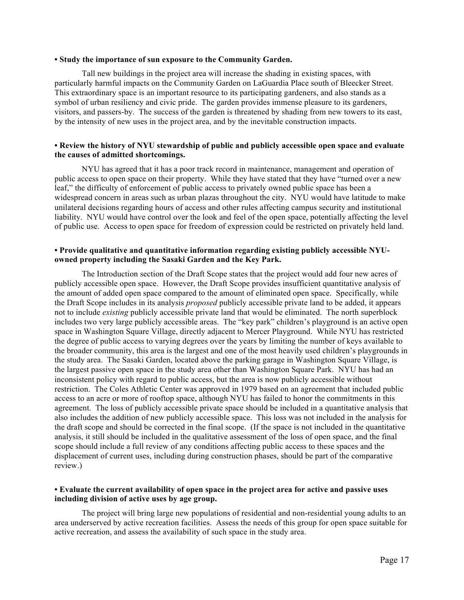#### **• Study the importance of sun exposure to the Community Garden.**

Tall new buildings in the project area will increase the shading in existing spaces, with particularly harmful impacts on the Community Garden on LaGuardia Place south of Bleecker Street. This extraordinary space is an important resource to its participating gardeners, and also stands as a symbol of urban resiliency and civic pride. The garden provides immense pleasure to its gardeners, visitors, and passers-by. The success of the garden is threatened by shading from new towers to its east, by the intensity of new uses in the project area, and by the inevitable construction impacts.

## **• Review the history of NYU stewardship of public and publicly accessible open space and evaluate the causes of admitted shortcomings.**

NYU has agreed that it has a poor track record in maintenance, management and operation of public access to open space on their property. While they have stated that they have "turned over a new leaf," the difficulty of enforcement of public access to privately owned public space has been a widespread concern in areas such as urban plazas throughout the city. NYU would have latitude to make unilateral decisions regarding hours of access and other rules affecting campus security and institutional liability. NYU would have control over the look and feel of the open space, potentially affecting the level of public use. Access to open space for freedom of expression could be restricted on privately held land.

### **• Provide qualitative and quantitative information regarding existing publicly accessible NYUowned property including the Sasaki Garden and the Key Park.**

The Introduction section of the Draft Scope states that the project would add four new acres of publicly accessible open space. However, the Draft Scope provides insufficient quantitative analysis of the amount of added open space compared to the amount of eliminated open space. Specifically, while the Draft Scope includes in its analysis *proposed* publicly accessible private land to be added, it appears not to include *existing* publicly accessible private land that would be eliminated. The north superblock includes two very large publicly accessible areas. The "key park" children's playground is an active open space in Washington Square Village, directly adjacent to Mercer Playground. While NYU has restricted the degree of public access to varying degrees over the years by limiting the number of keys available to the broader community, this area is the largest and one of the most heavily used children's playgrounds in the study area. The Sasaki Garden, located above the parking garage in Washington Square Village, is the largest passive open space in the study area other than Washington Square Park. NYU has had an inconsistent policy with regard to public access, but the area is now publicly accessible without restriction. The Coles Athletic Center was approved in 1979 based on an agreement that included public access to an acre or more of rooftop space, although NYU has failed to honor the commitments in this agreement. The loss of publicly accessible private space should be included in a quantitative analysis that also includes the addition of new publicly accessible space. This loss was not included in the analysis for the draft scope and should be corrected in the final scope. (If the space is not included in the quantitative analysis, it still should be included in the qualitative assessment of the loss of open space, and the final scope should include a full review of any conditions affecting public access to these spaces and the displacement of current uses, including during construction phases, should be part of the comparative review.)

## **• Evaluate the current availability of open space in the project area for active and passive uses including division of active uses by age group.**

The project will bring large new populations of residential and non-residential young adults to an area underserved by active recreation facilities. Assess the needs of this group for open space suitable for active recreation, and assess the availability of such space in the study area.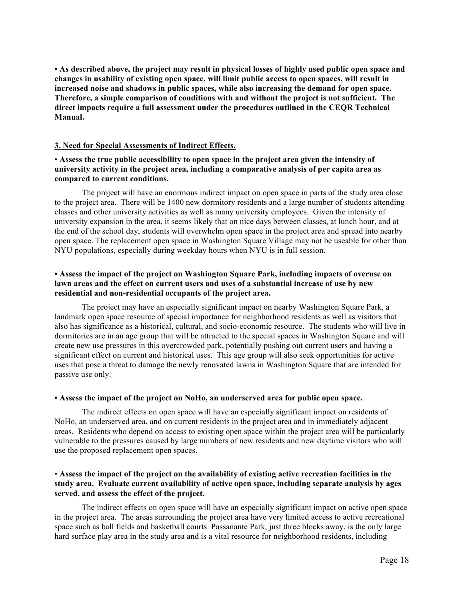**• As described above, the project may result in physical losses of highly used public open space and changes in usability of existing open space, will limit public access to open spaces, will result in increased noise and shadows in public spaces, while also increasing the demand for open space. Therefore, a simple comparison of conditions with and without the project is not sufficient. The direct impacts require a full assessment under the procedures outlined in the CEQR Technical Manual.** 

### **3. Need for Special Assessments of Indirect Effects.**

## • **Assess the true public accessibility to open space in the project area given the intensity of university activity in the project area, including a comparative analysis of per capita area as compared to current conditions.**

The project will have an enormous indirect impact on open space in parts of the study area close to the project area. There will be 1400 new dormitory residents and a large number of students attending classes and other university activities as well as many university employees. Given the intensity of university expansion in the area, it seems likely that on nice days between classes, at lunch hour, and at the end of the school day, students will overwhelm open space in the project area and spread into nearby open space. The replacement open space in Washington Square Village may not be useable for other than NYU populations, especially during weekday hours when NYU is in full session.

### **• Assess the impact of the project on Washington Square Park, including impacts of overuse on lawn areas and the effect on current users and uses of a substantial increase of use by new residential and non-residential occupants of the project area.**

The project may have an especially significant impact on nearby Washington Square Park, a landmark open space resource of special importance for neighborhood residents as well as visitors that also has significance as a historical, cultural, and socio-economic resource. The students who will live in dormitories are in an age group that will be attracted to the special spaces in Washington Square and will create new use pressures in this overcrowded park, potentially pushing out current users and having a significant effect on current and historical uses. This age group will also seek opportunities for active uses that pose a threat to damage the newly renovated lawns in Washington Square that are intended for passive use only.

#### **• Assess the impact of the project on NoHo, an underserved area for public open space.**

The indirect effects on open space will have an especially significant impact on residents of NoHo, an underserved area, and on current residents in the project area and in immediately adjacent areas.Residents who depend on access to existing open space within the project area will be particularly vulnerable to the pressures caused by large numbers of new residents and new daytime visitors who will use the proposed replacement open spaces.

## • **Assess the impact of the project on the availability of existing active recreation facilities in the study area. Evaluate current availability of active open space, including separate analysis by ages served, and assess the effect of the project.**

The indirect effects on open space will have an especially significant impact on active open space in the project area.The areas surrounding the project area have very limited access to active recreational space such as ball fields and basketball courts. Passanante Park, just three blocks away, is the only large hard surface play area in the study area and is a vital resource for neighborhood residents, including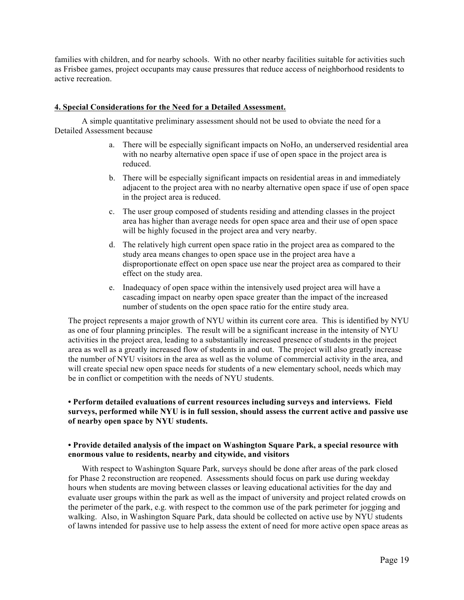families with children, and for nearby schools. With no other nearby facilities suitable for activities such as Frisbee games, project occupants may cause pressures that reduce access of neighborhood residents to active recreation.

### **4. Special Considerations for the Need for a Detailed Assessment.**

A simple quantitative preliminary assessment should not be used to obviate the need for a Detailed Assessment because

- a. There will be especially significant impacts on NoHo, an underserved residential area with no nearby alternative open space if use of open space in the project area is reduced.
- b. There will be especially significant impacts on residential areas in and immediately adjacent to the project area with no nearby alternative open space if use of open space in the project area is reduced.
- c. The user group composed of students residing and attending classes in the project area has higher than average needs for open space area and their use of open space will be highly focused in the project area and very nearby.
- d. The relatively high current open space ratio in the project area as compared to the study area means changes to open space use in the project area have a disproportionate effect on open space use near the project area as compared to their effect on the study area.
- e. Inadequacy of open space within the intensively used project area will have a cascading impact on nearby open space greater than the impact of the increased number of students on the open space ratio for the entire study area.

The project represents a major growth of NYU within its current core area. This is identified by NYU as one of four planning principles. The result will be a significant increase in the intensity of NYU activities in the project area, leading to a substantially increased presence of students in the project area as well as a greatly increased flow of students in and out. The project will also greatly increase the number of NYU visitors in the area as well as the volume of commercial activity in the area, and will create special new open space needs for students of a new elementary school, needs which may be in conflict or competition with the needs of NYU students.

## **• Perform detailed evaluations of current resources including surveys and interviews. Field surveys, performed while NYU is in full session, should assess the current active and passive use of nearby open space by NYU students.**

## **• Provide detailed analysis of the impact on Washington Square Park, a special resource with enormous value to residents, nearby and citywide, and visitors**

With respect to Washington Square Park, surveys should be done after areas of the park closed for Phase 2 reconstruction are reopened. Assessments should focus on park use during weekday hours when students are moving between classes or leaving educational activities for the day and evaluate user groups within the park as well as the impact of university and project related crowds on the perimeter of the park, e.g. with respect to the common use of the park perimeter for jogging and walking. Also, in Washington Square Park, data should be collected on active use by NYU students of lawns intended for passive use to help assess the extent of need for more active open space areas as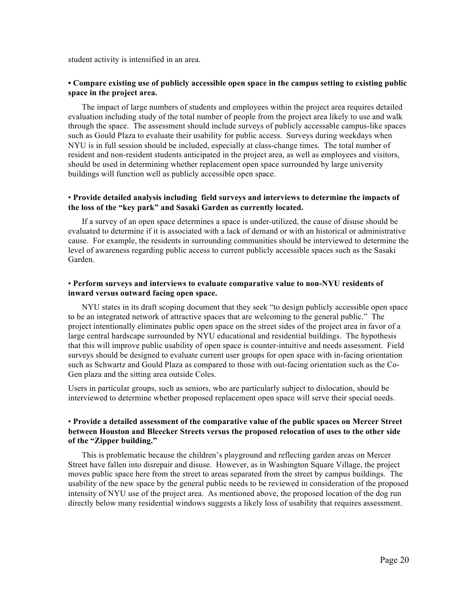student activity is intensified in an area.

### **• Compare existing use of publicly accessible open space in the campus setting to existing public space in the project area.**

The impact of large numbers of students and employees within the project area requires detailed evaluation including study of the total number of people from the project area likely to use and walk through the space. The assessment should include surveys of publicly accessable campus-like spaces such as Gould Plaza to evaluate their usability for public access. Surveys during weekdays when NYU is in full session should be included, especially at class-change times. The total number of resident and non-resident students anticipated in the project area, as well as employees and visitors, should be used in determining whether replacement open space surrounded by large university buildings will function well as publicly accessible open space.

### • **Provide detailed analysis including field surveys and interviews to determine the impacts of the loss of the "key park" and Sasaki Garden as currently located.**

If a survey of an open space determines a space is under-utilized, the cause of disuse should be evaluated to determine if it is associated with a lack of demand or with an historical or administrative cause. For example, the residents in surrounding communities should be interviewed to determine the level of awareness regarding public access to current publicly accessible spaces such as the Sasaki Garden.

### • **Perform surveys and interviews to evaluate comparative value to non-NYU residents of inward versus outward facing open space.**

NYU states in its draft scoping document that they seek "to design publicly accessible open space to be an integrated network of attractive spaces that are welcoming to the general public." The project intentionally eliminates public open space on the street sides of the project area in favor of a large central hardscape surrounded by NYU educational and residential buildings. The hypothesis that this will improve public usability of open space is counter-intuitive and needs assessment. Field surveys should be designed to evaluate current user groups for open space with in-facing orientation such as Schwartz and Gould Plaza as compared to those with out-facing orientation such as the Co-Gen plaza and the sitting area outside Coles.

Users in particular groups, such as seniors, who are particularly subject to dislocation, should be interviewed to determine whether proposed replacement open space will serve their special needs.

### • **Provide a detailed assessment of the comparative value of the public spaces on Mercer Street between Houston and Bleecker Streets versus the proposed relocation of uses to the other side of the "Zipper building."**

This is problematic because the children's playground and reflecting garden areas on Mercer Street have fallen into disrepair and disuse. However, as in Washington Square Village, the project moves public space here from the street to areas separated from the street by campus buildings. The usability of the new space by the general public needs to be reviewed in consideration of the proposed intensity of NYU use of the project area. As mentioned above, the proposed location of the dog run directly below many residential windows suggests a likely loss of usability that requires assessment.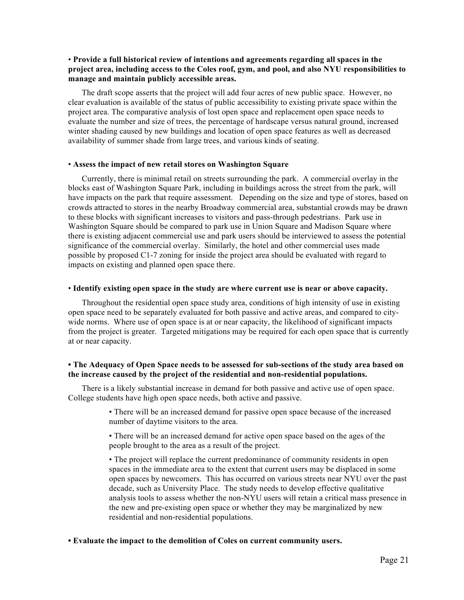### • **Provide a full historical review of intentions and agreements regarding all spaces in the project area, including access to the Coles roof, gym, and pool, and also NYU responsibilities to manage and maintain publicly accessible areas.**

The draft scope asserts that the project will add four acres of new public space. However, no clear evaluation is available of the status of public accessibility to existing private space within the project area. The comparative analysis of lost open space and replacement open space needs to evaluate the number and size of trees, the percentage of hardscape versus natural ground, increased winter shading caused by new buildings and location of open space features as well as decreased availability of summer shade from large trees, and various kinds of seating.

#### • **Assess the impact of new retail stores on Washington Square**

Currently, there is minimal retail on streets surrounding the park. A commercial overlay in the blocks east of Washington Square Park, including in buildings across the street from the park, will have impacts on the park that require assessment. Depending on the size and type of stores, based on crowds attracted to stores in the nearby Broadway commercial area, substantial crowds may be drawn to these blocks with significant increases to visitors and pass-through pedestrians. Park use in Washington Square should be compared to park use in Union Square and Madison Square where there is existing adjacent commercial use and park users should be interviewed to assess the potential significance of the commercial overlay. Similarly, the hotel and other commercial uses made possible by proposed C1-7 zoning for inside the project area should be evaluated with regard to impacts on existing and planned open space there.

#### • **Identify existing open space in the study are where current use is near or above capacity.**

Throughout the residential open space study area, conditions of high intensity of use in existing open space need to be separately evaluated for both passive and active areas, and compared to citywide norms. Where use of open space is at or near capacity, the likelihood of significant impacts from the project is greater. Targeted mitigations may be required for each open space that is currently at or near capacity.

### **• The Adequacy of Open Space needs to be assessed for sub-sections of the study area based on the increase caused by the project of the residential and non-residential populations.**

There is a likely substantial increase in demand for both passive and active use of open space. College students have high open space needs, both active and passive.

> • There will be an increased demand for passive open space because of the increased number of daytime visitors to the area.

• There will be an increased demand for active open space based on the ages of the people brought to the area as a result of the project.

• The project will replace the current predominance of community residents in open spaces in the immediate area to the extent that current users may be displaced in some open spaces by newcomers. This has occurred on various streets near NYU over the past decade, such as University Place. The study needs to develop effective qualitative analysis tools to assess whether the non-NYU users will retain a critical mass presence in the new and pre-existing open space or whether they may be marginalized by new residential and non-residential populations.

#### **• Evaluate the impact to the demolition of Coles on current community users.**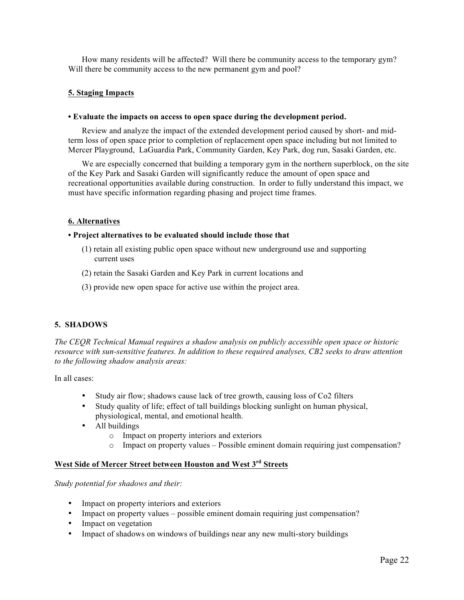How many residents will be affected? Will there be community access to the temporary gym? Will there be community access to the new permanent gym and pool?

### **5. Staging Impacts**

#### **• Evaluate the impacts on access to open space during the development period.**

Review and analyze the impact of the extended development period caused by short- and midterm loss of open space prior to completion of replacement open space including but not limited to Mercer Playground, LaGuardia Park, Community Garden, Key Park, dog run, Sasaki Garden, etc.

We are especially concerned that building a temporary gym in the northern superblock, on the site of the Key Park and Sasaki Garden will significantly reduce the amount of open space and recreational opportunities available during construction. In order to fully understand this impact, we must have specific information regarding phasing and project time frames.

## **6. Alternatives**

#### **• Project alternatives to be evaluated should include those that**

- (1) retain all existing public open space without new underground use and supporting current uses
- (2) retain the Sasaki Garden and Key Park in current locations and
- (3) provide new open space for active use within the project area.

### **5. SHADOWS**

*The CEQR Technical Manual requires a shadow analysis on publicly accessible open space or historic resource with sun-sensitive features. In addition to these required analyses, CB2 seeks to draw attention to the following shadow analysis areas:*

In all cases:

- Study air flow; shadows cause lack of tree growth, causing loss of Co2 filters
- Study quality of life; effect of tall buildings blocking sunlight on human physical, physiological, mental, and emotional health.
- All buildings
	- o Impact on property interiors and exteriors
	- $\circ$  Impact on property values Possible eminent domain requiring just compensation?

# **West Side of Mercer Street between Houston and West 3rd Streets**

#### *Study potential for shadows and their:*

- Impact on property interiors and exteriors
- Impact on property values possible eminent domain requiring just compensation?
- Impact on vegetation
- Impact of shadows on windows of buildings near any new multi-story buildings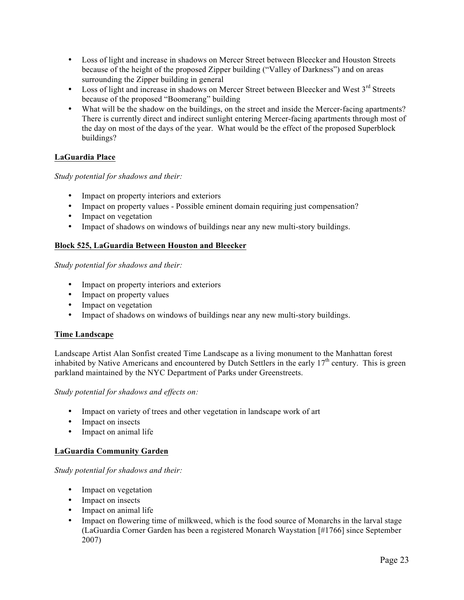- Loss of light and increase in shadows on Mercer Street between Bleecker and Houston Streets because of the height of the proposed Zipper building ("Valley of Darkness") and on areas surrounding the Zipper building in general
- Loss of light and increase in shadows on Mercer Street between Bleecker and West 3<sup>rd</sup> Streets because of the proposed "Boomerang" building
- What will be the shadow on the buildings, on the street and inside the Mercer-facing apartments? There is currently direct and indirect sunlight entering Mercer-facing apartments through most of the day on most of the days of the year. What would be the effect of the proposed Superblock buildings?

# **LaGuardia Place**

# *Study potential for shadows and their:*

- Impact on property interiors and exteriors
- Impact on property values Possible eminent domain requiring just compensation?
- Impact on vegetation
- Impact of shadows on windows of buildings near any new multi-story buildings.

## **Block 525, LaGuardia Between Houston and Bleecker**

*Study potential for shadows and their:*

- Impact on property interiors and exteriors
- Impact on property values
- Impact on vegetation
- Impact of shadows on windows of buildings near any new multi-story buildings.

## **Time Landscape**

Landscape Artist Alan Sonfist created Time Landscape as a living monument to the Manhattan forest inhabited by Native Americans and encountered by Dutch Settlers in the early  $17<sup>th</sup>$  century. This is green parkland maintained by the NYC Department of Parks under Greenstreets.

*Study potential for shadows and effects on:*

- Impact on variety of trees and other vegetation in landscape work of art
- Impact on insects
- Impact on animal life

## **LaGuardia Community Garden**

## *Study potential for shadows and their:*

- Impact on vegetation
- Impact on insects
- Impact on animal life
- Impact on flowering time of milkweed, which is the food source of Monarchs in the larval stage (LaGuardia Corner Garden has been a registered Monarch Waystation [#1766] since September 2007)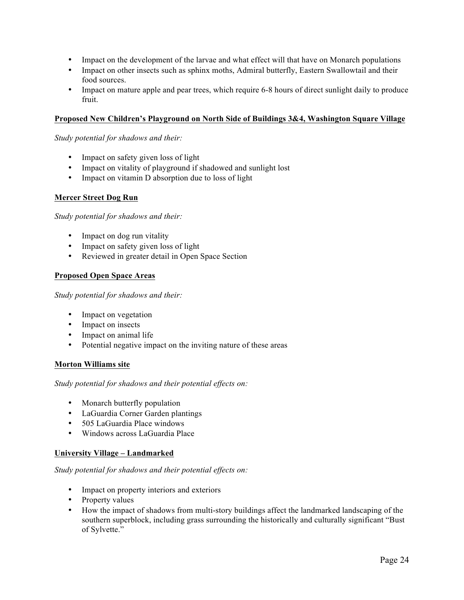- Impact on the development of the larvae and what effect will that have on Monarch populations
- Impact on other insects such as sphinx moths, Admiral butterfly, Eastern Swallowtail and their food sources.
- Impact on mature apple and pear trees, which require 6-8 hours of direct sunlight daily to produce fruit.

## **Proposed New Children's Playground on North Side of Buildings 3&4, Washington Square Village**

*Study potential for shadows and their:*

- Impact on safety given loss of light
- Impact on vitality of playground if shadowed and sunlight lost
- Impact on vitamin D absorption due to loss of light

### **Mercer Street Dog Run**

*Study potential for shadows and their:*

- Impact on dog run vitality
- Impact on safety given loss of light
- Reviewed in greater detail in Open Space Section

### **Proposed Open Space Areas**

*Study potential for shadows and their:*

- Impact on vegetation
- Impact on insects
- Impact on animal life
- Potential negative impact on the inviting nature of these areas

#### **Morton Williams site**

*Study potential for shadows and their potential effects on:*

- Monarch butterfly population
- LaGuardia Corner Garden plantings
- 505 LaGuardia Place windows
- Windows across LaGuardia Place

#### **University Village – Landmarked**

#### *Study potential for shadows and their potential effects on:*

- Impact on property interiors and exteriors
- Property values
- How the impact of shadows from multi-story buildings affect the landmarked landscaping of the southern superblock, including grass surrounding the historically and culturally significant "Bust of Sylvette."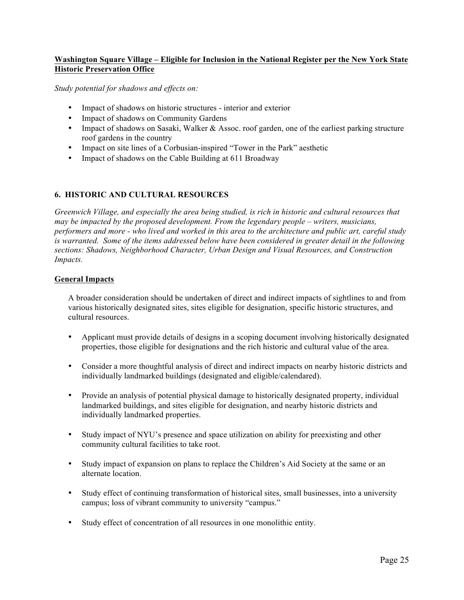## **Washington Square Village – Eligible for Inclusion in the National Register per the New York State Historic Preservation Office**

*Study potential for shadows and effects on:*

- Impact of shadows on historic structures interior and exterior
- Impact of shadows on Community Gardens
- Impact of shadows on Sasaki, Walker & Assoc. roof garden, one of the earliest parking structure roof gardens in the country
- Impact on site lines of a Corbusian-inspired "Tower in the Park" aesthetic
- Impact of shadows on the Cable Building at 611 Broadway

## **6. HISTORIC AND CULTURAL RESOURCES**

*Greenwich Village, and especially the area being studied, is rich in historic and cultural resources that may be impacted by the proposed development. From the legendary people – writers, musicians, performers and more - who lived and worked in this area to the architecture and public art, careful study is warranted. Some of the items addressed below have been considered in greater detail in the following sections: Shadows, Neighborhood Character, Urban Design and Visual Resources, and Construction Impacts.*

## **General Impacts**

A broader consideration should be undertaken of direct and indirect impacts of sightlines to and from various historically designated sites, sites eligible for designation, specific historic structures, and cultural resources.

- Applicant must provide details of designs in a scoping document involving historically designated properties, those eligible for designations and the rich historic and cultural value of the area.
- Consider a more thoughtful analysis of direct and indirect impacts on nearby historic districts and individually landmarked buildings (designated and eligible/calendared).
- Provide an analysis of potential physical damage to historically designated property, individual landmarked buildings, and sites eligible for designation, and nearby historic districts and individually landmarked properties.
- Study impact of NYU's presence and space utilization on ability for preexisting and other community cultural facilities to take root.
- Study impact of expansion on plans to replace the Children's Aid Society at the same or an alternate location.
- Study effect of continuing transformation of historical sites, small businesses, into a university campus; loss of vibrant community to university "campus."
- Study effect of concentration of all resources in one monolithic entity.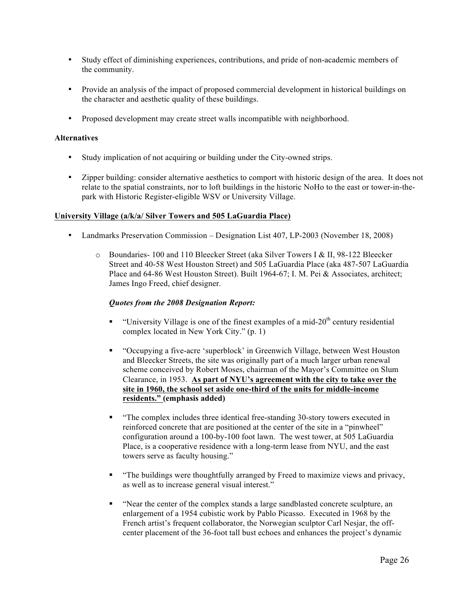- Study effect of diminishing experiences, contributions, and pride of non-academic members of the community.
- Provide an analysis of the impact of proposed commercial development in historical buildings on the character and aesthetic quality of these buildings.
- Proposed development may create street walls incompatible with neighborhood.

## **Alternatives**

- Study implication of not acquiring or building under the City-owned strips.
- Zipper building: consider alternative aesthetics to comport with historic design of the area. It does not relate to the spatial constraints, nor to loft buildings in the historic NoHo to the east or tower-in-thepark with Historic Register-eligible WSV or University Village.

### **University Village (a/k/a/ Silver Towers and 505 LaGuardia Place)**

- Landmarks Preservation Commission Designation List 407, LP-2003 (November 18, 2008)
	- o Boundaries- 100 and 110 Bleecker Street (aka Silver Towers I & II, 98-122 Bleecker Street and 40-58 West Houston Street) and 505 LaGuardia Place (aka 487-507 LaGuardia Place and 64-86 West Houston Street). Built 1964-67; I. M. Pei & Associates, architect; James Ingo Freed, chief designer.

## *Quotes from the 2008 Designation Report:*

- " "University Village is one of the finest examples of a mid- $20<sup>th</sup>$  century residential complex located in New York City." (p. 1)
- "Occupying a five-acre 'superblock' in Greenwich Village, between West Houston and Bleecker Streets, the site was originally part of a much larger urban renewal scheme conceived by Robert Moses, chairman of the Mayor's Committee on Slum Clearance, in 1953. **As part of NYU's agreement with the city to take over the site in 1960, the school set aside one-third of the units for middle-income residents." (emphasis added)**
- "The complex includes three identical free-standing 30-story towers executed in reinforced concrete that are positioned at the center of the site in a "pinwheel" configuration around a 100-by-100 foot lawn. The west tower, at 505 LaGuardia Place, is a cooperative residence with a long-term lease from NYU, and the east towers serve as faculty housing."
- "The buildings were thoughtfully arranged by Freed to maximize views and privacy, as well as to increase general visual interest."
- "Near the center of the complex stands a large sandblasted concrete sculpture, an enlargement of a 1954 cubistic work by Pablo Picasso. Executed in 1968 by the French artist's frequent collaborator, the Norwegian sculptor Carl Nesjar, the offcenter placement of the 36-foot tall bust echoes and enhances the project's dynamic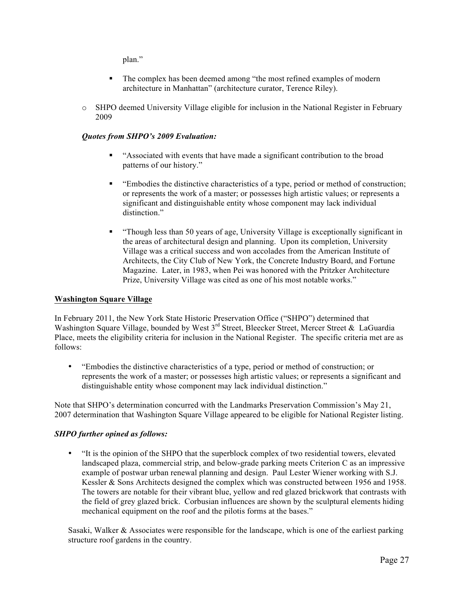plan."

- The complex has been deemed among "the most refined examples of modern architecture in Manhattan" (architecture curator, Terence Riley).
- o SHPO deemed University Village eligible for inclusion in the National Register in February 2009

## *Quotes from SHPO's 2009 Evaluation:*

- "Associated with events that have made a significant contribution to the broad patterns of our history."
- "Embodies the distinctive characteristics of a type, period or method of construction; or represents the work of a master; or possesses high artistic values; or represents a significant and distinguishable entity whose component may lack individual distinction."
- "Though less than 50 years of age, University Village is exceptionally significant in the areas of architectural design and planning. Upon its completion, University Village was a critical success and won accolades from the American Institute of Architects, the City Club of New York, the Concrete Industry Board, and Fortune Magazine. Later, in 1983, when Pei was honored with the Pritzker Architecture Prize, University Village was cited as one of his most notable works."

## **Washington Square Village**

In February 2011, the New York State Historic Preservation Office ("SHPO") determined that Washington Square Village, bounded by West 3<sup>rd</sup> Street, Bleecker Street, Mercer Street & LaGuardia Place, meets the eligibility criteria for inclusion in the National Register. The specific criteria met are as follows:

• "Embodies the distinctive characteristics of a type, period or method of construction; or represents the work of a master; or possesses high artistic values; or represents a significant and distinguishable entity whose component may lack individual distinction."

Note that SHPO's determination concurred with the Landmarks Preservation Commission's May 21, 2007 determination that Washington Square Village appeared to be eligible for National Register listing.

## *SHPO further opined as follows:*

• "It is the opinion of the SHPO that the superblock complex of two residential towers, elevated landscaped plaza, commercial strip, and below-grade parking meets Criterion C as an impressive example of postwar urban renewal planning and design. Paul Lester Wiener working with S.J. Kessler & Sons Architects designed the complex which was constructed between 1956 and 1958. The towers are notable for their vibrant blue, yellow and red glazed brickwork that contrasts with the field of grey glazed brick. Corbusian influences are shown by the sculptural elements hiding mechanical equipment on the roof and the pilotis forms at the bases."

Sasaki, Walker & Associates were responsible for the landscape, which is one of the earliest parking structure roof gardens in the country.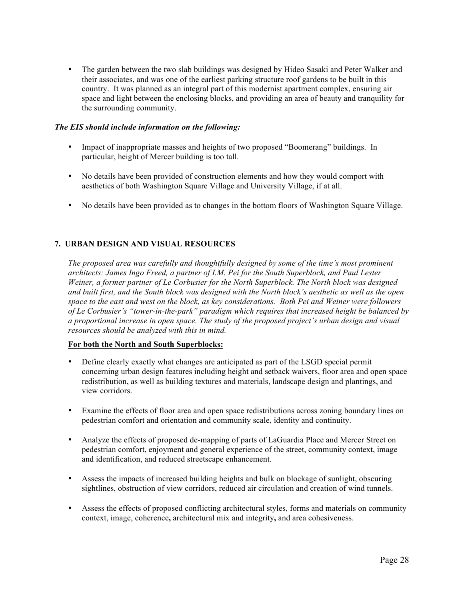• The garden between the two slab buildings was designed by Hideo Sasaki and Peter Walker and their associates, and was one of the earliest parking structure roof gardens to be built in this country. It was planned as an integral part of this modernist apartment complex, ensuring air space and light between the enclosing blocks, and providing an area of beauty and tranquility for the surrounding community.

## *The EIS should include information on the following:*

- Impact of inappropriate masses and heights of two proposed "Boomerang" buildings. In particular, height of Mercer building is too tall.
- No details have been provided of construction elements and how they would comport with aesthetics of both Washington Square Village and University Village, if at all.
- No details have been provided as to changes in the bottom floors of Washington Square Village.

# **7. URBAN DESIGN AND VISUAL RESOURCES**

*The proposed area was carefully and thoughtfully designed by some of the time's most prominent architects: James Ingo Freed, a partner of I.M. Pei for the South Superblock, and Paul Lester Weiner, a former partner of Le Corbusier for the North Superblock. The North block was designed and built first, and the South block was designed with the North block's aesthetic as well as the open space to the east and west on the block, as key considerations. Both Pei and Weiner were followers of Le Corbusier's "tower-in-the-park" paradigm which requires that increased height be balanced by a proportional increase in open space. The study of the proposed project's urban design and visual resources should be analyzed with this in mind.*

# **For both the North and South Superblocks:**

- Define clearly exactly what changes are anticipated as part of the LSGD special permit concerning urban design features including height and setback waivers, floor area and open space redistribution, as well as building textures and materials, landscape design and plantings, and view corridors.
- Examine the effects of floor area and open space redistributions across zoning boundary lines on pedestrian comfort and orientation and community scale, identity and continuity.
- Analyze the effects of proposed de-mapping of parts of LaGuardia Place and Mercer Street on pedestrian comfort, enjoyment and general experience of the street, community context, image and identification, and reduced streetscape enhancement.
- Assess the impacts of increased building heights and bulk on blockage of sunlight, obscuring sightlines, obstruction of view corridors, reduced air circulation and creation of wind tunnels.
- Assess the effects of proposed conflicting architectural styles, forms and materials on community context, image, coherence**,** architectural mix and integrity**,** and area cohesiveness.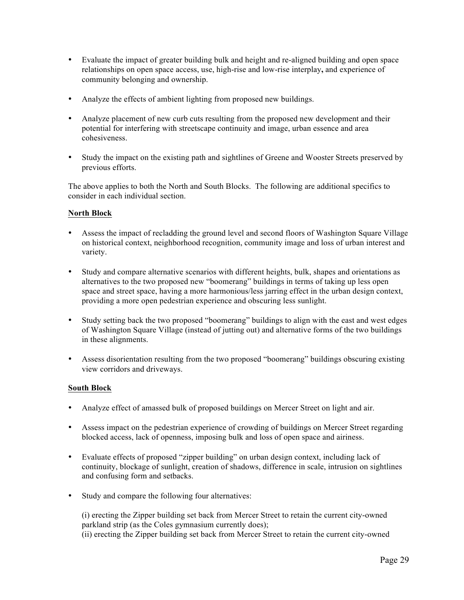- Evaluate the impact of greater building bulk and height and re-aligned building and open space relationships on open space access, use, high-rise and low-rise interplay**,** and experience of community belonging and ownership.
- Analyze the effects of ambient lighting from proposed new buildings.
- Analyze placement of new curb cuts resulting from the proposed new development and their potential for interfering with streetscape continuity and image, urban essence and area cohesiveness.
- Study the impact on the existing path and sightlines of Greene and Wooster Streets preserved by previous efforts.

The above applies to both the North and South Blocks. The following are additional specifics to consider in each individual section.

## **North Block**

- Assess the impact of recladding the ground level and second floors of Washington Square Village on historical context, neighborhood recognition, community image and loss of urban interest and variety.
- Study and compare alternative scenarios with different heights, bulk, shapes and orientations as alternatives to the two proposed new "boomerang" buildings in terms of taking up less open space and street space, having a more harmonious/less jarring effect in the urban design context, providing a more open pedestrian experience and obscuring less sunlight.
- Study setting back the two proposed "boomerang" buildings to align with the east and west edges of Washington Square Village (instead of jutting out) and alternative forms of the two buildings in these alignments.
- Assess disorientation resulting from the two proposed "boomerang" buildings obscuring existing view corridors and driveways.

## **South Block**

- Analyze effect of amassed bulk of proposed buildings on Mercer Street on light and air.
- Assess impact on the pedestrian experience of crowding of buildings on Mercer Street regarding blocked access, lack of openness, imposing bulk and loss of open space and airiness.
- Evaluate effects of proposed "zipper building" on urban design context, including lack of continuity, blockage of sunlight, creation of shadows, difference in scale, intrusion on sightlines and confusing form and setbacks.
- Study and compare the following four alternatives:

(i) erecting the Zipper building set back from Mercer Street to retain the current city-owned parkland strip (as the Coles gymnasium currently does); (ii) erecting the Zipper building set back from Mercer Street to retain the current city-owned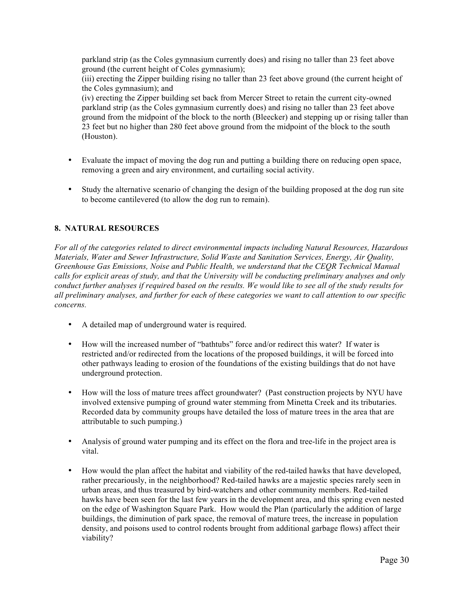parkland strip (as the Coles gymnasium currently does) and rising no taller than 23 feet above ground (the current height of Coles gymnasium);

(iii) erecting the Zipper building rising no taller than 23 feet above ground (the current height of the Coles gymnasium); and

(iv) erecting the Zipper building set back from Mercer Street to retain the current city-owned parkland strip (as the Coles gymnasium currently does) and rising no taller than 23 feet above ground from the midpoint of the block to the north (Bleecker) and stepping up or rising taller than 23 feet but no higher than 280 feet above ground from the midpoint of the block to the south (Houston).

- Evaluate the impact of moving the dog run and putting a building there on reducing open space, removing a green and airy environment, and curtailing social activity.
- Study the alternative scenario of changing the design of the building proposed at the dog run site to become cantilevered (to allow the dog run to remain).

# **8. NATURAL RESOURCES**

*For all of the categories related to direct environmental impacts including Natural Resources, Hazardous Materials, Water and Sewer Infrastructure, Solid Waste and Sanitation Services, Energy, Air Quality, Greenhouse Gas Emissions, Noise and Public Health, we understand that the CEQR Technical Manual calls for explicit areas of study, and that the University will be conducting preliminary analyses and only conduct further analyses if required based on the results. We would like to see all of the study results for all preliminary analyses, and further for each of these categories we want to call attention to our specific concerns.*

- A detailed map of underground water is required.
- How will the increased number of "bathtubs" force and/or redirect this water? If water is restricted and/or redirected from the locations of the proposed buildings, it will be forced into other pathways leading to erosion of the foundations of the existing buildings that do not have underground protection.
- How will the loss of mature trees affect groundwater? (Past construction projects by NYU have involved extensive pumping of ground water stemming from Minetta Creek and its tributaries. Recorded data by community groups have detailed the loss of mature trees in the area that are attributable to such pumping.)
- Analysis of ground water pumping and its effect on the flora and tree-life in the project area is vital.
- How would the plan affect the habitat and viability of the red-tailed hawks that have developed, rather precariously, in the neighborhood? Red-tailed hawks are a majestic species rarely seen in urban areas, and thus treasured by bird-watchers and other community members. Red-tailed hawks have been seen for the last few years in the development area, and this spring even nested on the edge of Washington Square Park. How would the Plan (particularly the addition of large buildings, the diminution of park space, the removal of mature trees, the increase in population density, and poisons used to control rodents brought from additional garbage flows) affect their viability?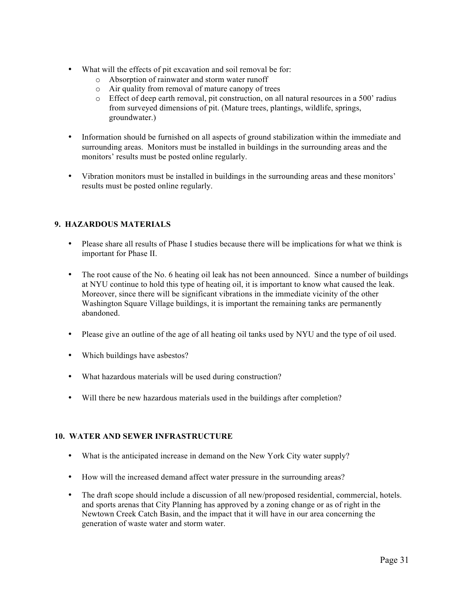- What will the effects of pit excavation and soil removal be for:
	- o Absorption of rainwater and storm water runoff
	- o Air quality from removal of mature canopy of trees
	- o Effect of deep earth removal, pit construction, on all natural resources in a 500' radius from surveyed dimensions of pit. (Mature trees, plantings, wildlife, springs, groundwater.)
- Information should be furnished on all aspects of ground stabilization within the immediate and surrounding areas. Monitors must be installed in buildings in the surrounding areas and the monitors' results must be posted online regularly.
- Vibration monitors must be installed in buildings in the surrounding areas and these monitors' results must be posted online regularly.

## **9. HAZARDOUS MATERIALS**

- Please share all results of Phase I studies because there will be implications for what we think is important for Phase II.
- The root cause of the No. 6 heating oil leak has not been announced. Since a number of buildings at NYU continue to hold this type of heating oil, it is important to know what caused the leak. Moreover, since there will be significant vibrations in the immediate vicinity of the other Washington Square Village buildings, it is important the remaining tanks are permanently abandoned.
- Please give an outline of the age of all heating oil tanks used by NYU and the type of oil used.
- Which buildings have asbestos?
- What hazardous materials will be used during construction?
- Will there be new hazardous materials used in the buildings after completion?

## **10. WATER AND SEWER INFRASTRUCTURE**

- What is the anticipated increase in demand on the New York City water supply?
- How will the increased demand affect water pressure in the surrounding areas?
- The draft scope should include a discussion of all new/proposed residential, commercial, hotels. and sports arenas that City Planning has approved by a zoning change or as of right in the Newtown Creek Catch Basin, and the impact that it will have in our area concerning the generation of waste water and storm water.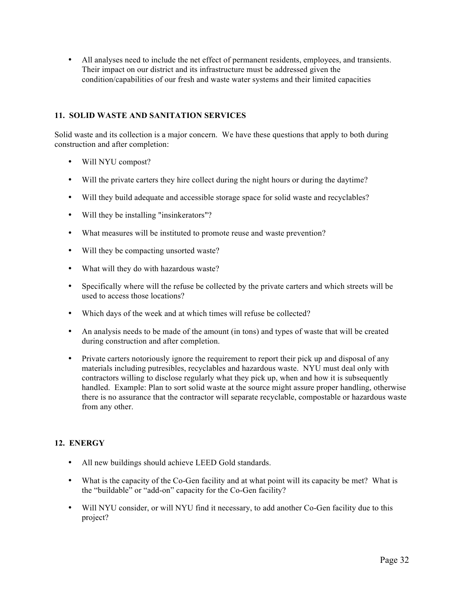• All analyses need to include the net effect of permanent residents, employees, and transients. Their impact on our district and its infrastructure must be addressed given the condition/capabilities of our fresh and waste water systems and their limited capacities

## **11. SOLID WASTE AND SANITATION SERVICES**

Solid waste and its collection is a major concern. We have these questions that apply to both during construction and after completion:

- Will NYU compost?
- Will the private carters they hire collect during the night hours or during the daytime?
- Will they build adequate and accessible storage space for solid waste and recyclables?
- Will they be installing "insinkerators"?
- What measures will be instituted to promote reuse and waste prevention?
- Will they be compacting unsorted waste?
- What will they do with hazardous waste?
- Specifically where will the refuse be collected by the private carters and which streets will be used to access those locations?
- Which days of the week and at which times will refuse be collected?
- An analysis needs to be made of the amount (in tons) and types of waste that will be created during construction and after completion.
- Private carters notoriously ignore the requirement to report their pick up and disposal of any materials including putresibles, recyclables and hazardous waste. NYU must deal only with contractors willing to disclose regularly what they pick up, when and how it is subsequently handled. Example: Plan to sort solid waste at the source might assure proper handling, otherwise there is no assurance that the contractor will separate recyclable, compostable or hazardous waste from any other.

# **12. ENERGY**

- All new buildings should achieve LEED Gold standards.
- What is the capacity of the Co-Gen facility and at what point will its capacity be met? What is the "buildable" or "add-on" capacity for the Co-Gen facility?
- Will NYU consider, or will NYU find it necessary, to add another Co-Gen facility due to this project?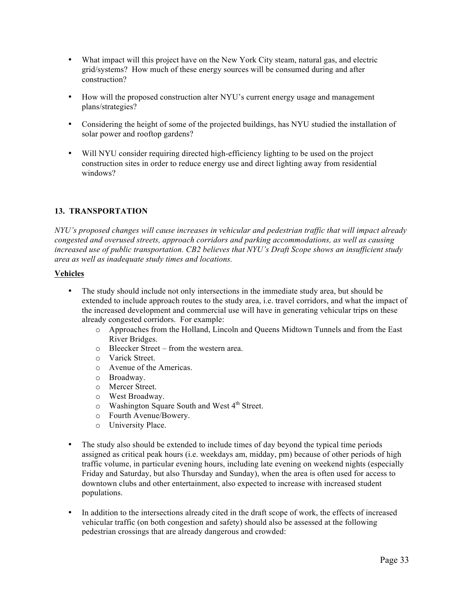- What impact will this project have on the New York City steam, natural gas, and electric grid/systems? How much of these energy sources will be consumed during and after construction?
- How will the proposed construction alter NYU's current energy usage and management plans/strategies?
- Considering the height of some of the projected buildings, has NYU studied the installation of solar power and rooftop gardens?
- Will NYU consider requiring directed high-efficiency lighting to be used on the project construction sites in order to reduce energy use and direct lighting away from residential windows?

# **13. TRANSPORTATION**

*NYU's proposed changes will cause increases in vehicular and pedestrian traffic that will impact already congested and overused streets, approach corridors and parking accommodations, as well as causing increased use of public transportation. CB2 believes that NYU's Draft Scope shows an insufficient study area as well as inadequate study times and locations.*

## **Vehicles**

- The study should include not only intersections in the immediate study area, but should be extended to include approach routes to the study area, i.e. travel corridors, and what the impact of the increased development and commercial use will have in generating vehicular trips on these already congested corridors. For example:
	- o Approaches from the Holland, Lincoln and Queens Midtown Tunnels and from the East River Bridges.
	- o Bleecker Street from the western area.
	- o Varick Street.
	- o Avenue of the Americas.
	- o Broadway.
	- o Mercer Street.
	- o West Broadway.
	- $\circ$  Washington Square South and West 4<sup>th</sup> Street.
	- o Fourth Avenue/Bowery.
	- o University Place.
- The study also should be extended to include times of day beyond the typical time periods assigned as critical peak hours (i.e. weekdays am, midday, pm) because of other periods of high traffic volume, in particular evening hours, including late evening on weekend nights (especially Friday and Saturday, but also Thursday and Sunday), when the area is often used for access to downtown clubs and other entertainment, also expected to increase with increased student populations.
- In addition to the intersections already cited in the draft scope of work, the effects of increased vehicular traffic (on both congestion and safety) should also be assessed at the following pedestrian crossings that are already dangerous and crowded: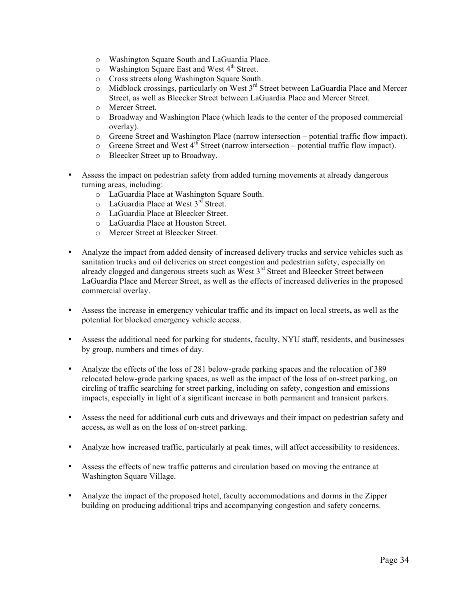- o Washington Square South and LaGuardia Place.
- $\circ$  Washington Square East and West 4<sup>th</sup> Street.
- o Cross streets along Washington Square South.
- o Midblock crossings, particularly on West 3rd Street between LaGuardia Place and Mercer Street, as well as Bleecker Street between LaGuardia Place and Mercer Street.
- o Mercer Street.
- o Broadway and Washington Place (which leads to the center of the proposed commercial overlay).
- o Greene Street and Washington Place (narrow intersection potential traffic flow impact).
- $\circ$  Greene Street and West 4<sup>th</sup> Street (narrow intersection potential traffic flow impact).
- o Bleecker Street up to Broadway.
- Assess the impact on pedestrian safety from added turning movements at already dangerous turning areas, including:
	- o LaGuardia Place at Washington Square South.
	- $\circ$  LaGuardia Place at West 3<sup>rd</sup> Street.
	- o LaGuardia Place at Bleecker Street.
	- o LaGuardia Place at Houston Street.
	- o Mercer Street at Bleecker Street.
- Analyze the impact from added density of increased delivery trucks and service vehicles such as sanitation trucks and oil deliveries on street congestion and pedestrian safety, especially on already clogged and dangerous streets such as West 3<sup>rd</sup> Street and Bleecker Street between LaGuardia Place and Mercer Street, as well as the effects of increased deliveries in the proposed commercial overlay.
- Assess the increase in emergency vehicular traffic and its impact on local streets**,** as well as the potential for blocked emergency vehicle access.
- Assess the additional need for parking for students, faculty, NYU staff, residents, and businesses by group, numbers and times of day.
- Analyze the effects of the loss of 281 below-grade parking spaces and the relocation of 389 relocated below-grade parking spaces, as well as the impact of the loss of on-street parking, on circling of traffic searching for street parking, including on safety, congestion and emissions impacts, especially in light of a significant increase in both permanent and transient parkers.
- Assess the need for additional curb cuts and driveways and their impact on pedestrian safety and access**,** as well as on the loss of on-street parking.
- Analyze how increased traffic, particularly at peak times, will affect accessibility to residences.
- Assess the effects of new traffic patterns and circulation based on moving the entrance at Washington Square Village.
- Analyze the impact of the proposed hotel, faculty accommodations and dorms in the Zipper building on producing additional trips and accompanying congestion and safety concerns.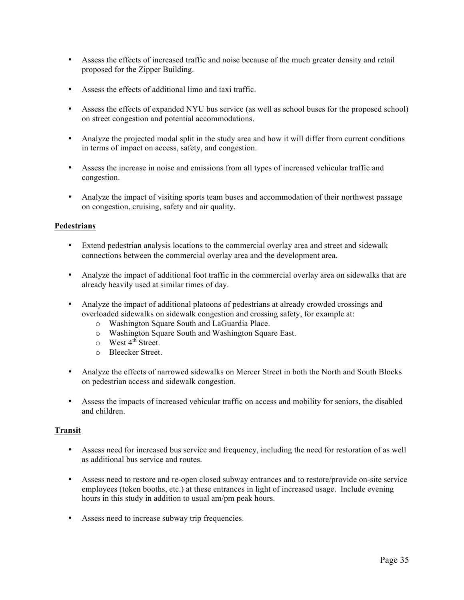- Assess the effects of increased traffic and noise because of the much greater density and retail proposed for the Zipper Building.
- Assess the effects of additional limo and taxi traffic.
- Assess the effects of expanded NYU bus service (as well as school buses for the proposed school) on street congestion and potential accommodations.
- Analyze the projected modal split in the study area and how it will differ from current conditions in terms of impact on access, safety, and congestion.
- Assess the increase in noise and emissions from all types of increased vehicular traffic and congestion.
- Analyze the impact of visiting sports team buses and accommodation of their northwest passage on congestion, cruising, safety and air quality.

## **Pedestrians**

- Extend pedestrian analysis locations to the commercial overlay area and street and sidewalk connections between the commercial overlay area and the development area.
- Analyze the impact of additional foot traffic in the commercial overlay area on sidewalks that are already heavily used at similar times of day.
- Analyze the impact of additional platoons of pedestrians at already crowded crossings and overloaded sidewalks on sidewalk congestion and crossing safety, for example at:
	- o Washington Square South and LaGuardia Place.
	- o Washington Square South and Washington Square East.
	- $\circ$  West 4<sup>th</sup> Street.
	- o Bleecker Street.
- Analyze the effects of narrowed sidewalks on Mercer Street in both the North and South Blocks on pedestrian access and sidewalk congestion.
- Assess the impacts of increased vehicular traffic on access and mobility for seniors, the disabled and children.

## **Transit**

- Assess need for increased bus service and frequency, including the need for restoration of as well as additional bus service and routes.
- Assess need to restore and re-open closed subway entrances and to restore/provide on-site service employees (token booths, etc.) at these entrances in light of increased usage. Include evening hours in this study in addition to usual am/pm peak hours.
- Assess need to increase subway trip frequencies.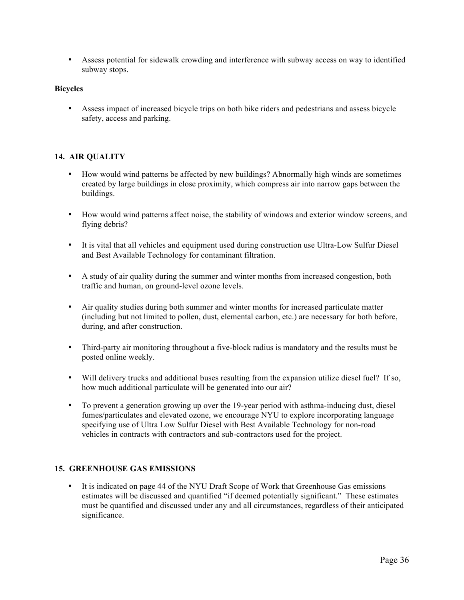• Assess potential for sidewalk crowding and interference with subway access on way to identified subway stops.

## **Bicycles**

• Assess impact of increased bicycle trips on both bike riders and pedestrians and assess bicycle safety, access and parking.

## **14. AIR QUALITY**

- How would wind patterns be affected by new buildings? Abnormally high winds are sometimes created by large buildings in close proximity, which compress air into narrow gaps between the buildings.
- How would wind patterns affect noise, the stability of windows and exterior window screens, and flying debris?
- It is vital that all vehicles and equipment used during construction use Ultra-Low Sulfur Diesel and Best Available Technology for contaminant filtration.
- A study of air quality during the summer and winter months from increased congestion, both traffic and human, on ground-level ozone levels.
- Air quality studies during both summer and winter months for increased particulate matter (including but not limited to pollen, dust, elemental carbon, etc.) are necessary for both before, during, and after construction.
- Third-party air monitoring throughout a five-block radius is mandatory and the results must be posted online weekly.
- Will delivery trucks and additional buses resulting from the expansion utilize diesel fuel? If so, how much additional particulate will be generated into our air?
- To prevent a generation growing up over the 19-year period with asthma-inducing dust, diesel fumes/particulates and elevated ozone, we encourage NYU to explore incorporating language specifying use of Ultra Low Sulfur Diesel with Best Available Technology for non-road vehicles in contracts with contractors and sub-contractors used for the project.

## **15. GREENHOUSE GAS EMISSIONS**

• It is indicated on page 44 of the NYU Draft Scope of Work that Greenhouse Gas emissions estimates will be discussed and quantified "if deemed potentially significant." These estimates must be quantified and discussed under any and all circumstances, regardless of their anticipated significance.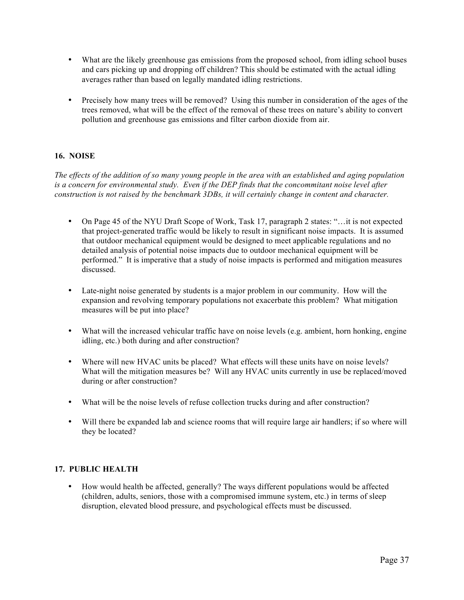- What are the likely greenhouse gas emissions from the proposed school, from idling school buses and cars picking up and dropping off children? This should be estimated with the actual idling averages rather than based on legally mandated idling restrictions.
- Precisely how many trees will be removed? Using this number in consideration of the ages of the trees removed, what will be the effect of the removal of these trees on nature's ability to convert pollution and greenhouse gas emissions and filter carbon dioxide from air.

# **16. NOISE**

*The effects of the addition of so many young people in the area with an established and aging population is a concern for environmental study. Even if the DEP finds that the concommitant noise level after construction is not raised by the benchmark 3DBs, it will certainly change in content and character.*

- On Page 45 of the NYU Draft Scope of Work, Task 17, paragraph 2 states: "... it is not expected that project-generated traffic would be likely to result in significant noise impacts. It is assumed that outdoor mechanical equipment would be designed to meet applicable regulations and no detailed analysis of potential noise impacts due to outdoor mechanical equipment will be performed." It is imperative that a study of noise impacts is performed and mitigation measures discussed.
- Late-night noise generated by students is a major problem in our community. How will the expansion and revolving temporary populations not exacerbate this problem? What mitigation measures will be put into place?
- What will the increased vehicular traffic have on noise levels (e.g. ambient, horn honking, engine idling, etc.) both during and after construction?
- Where will new HVAC units be placed? What effects will these units have on noise levels? What will the mitigation measures be? Will any HVAC units currently in use be replaced/moved during or after construction?
- What will be the noise levels of refuse collection trucks during and after construction?
- Will there be expanded lab and science rooms that will require large air handlers; if so where will they be located?

## **17. PUBLIC HEALTH**

• How would health be affected, generally? The ways different populations would be affected (children, adults, seniors, those with a compromised immune system, etc.) in terms of sleep disruption, elevated blood pressure, and psychological effects must be discussed.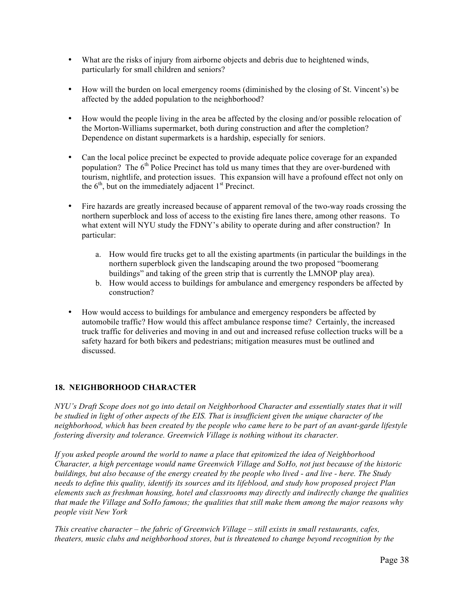- What are the risks of injury from airborne objects and debris due to heightened winds, particularly for small children and seniors?
- How will the burden on local emergency rooms (diminished by the closing of St. Vincent's) be affected by the added population to the neighborhood?
- How would the people living in the area be affected by the closing and/or possible relocation of the Morton-Williams supermarket, both during construction and after the completion? Dependence on distant supermarkets is a hardship, especially for seniors.
- Can the local police precinct be expected to provide adequate police coverage for an expanded population? The  $6<sup>th</sup>$  Police Precinct has told us many times that they are over-burdened with tourism, nightlife, and protection issues. This expansion will have a profound effect not only on the  $6<sup>th</sup>$ , but on the immediately adjacent  $1<sup>st</sup>$  Precinct.
- Fire hazards are greatly increased because of apparent removal of the two-way roads crossing the northern superblock and loss of access to the existing fire lanes there, among other reasons. To what extent will NYU study the FDNY's ability to operate during and after construction? In particular:
	- a. How would fire trucks get to all the existing apartments (in particular the buildings in the northern superblock given the landscaping around the two proposed "boomerang buildings" and taking of the green strip that is currently the LMNOP play area).
	- b. How would access to buildings for ambulance and emergency responders be affected by construction?
- How would access to buildings for ambulance and emergency responders be affected by automobile traffic? How would this affect ambulance response time? Certainly, the increased truck traffic for deliveries and moving in and out and increased refuse collection trucks will be a safety hazard for both bikers and pedestrians; mitigation measures must be outlined and discussed.

# **18. NEIGHBORHOOD CHARACTER**

*NYU's Draft Scope does not go into detail on Neighborhood Character and essentially states that it will be studied in light of other aspects of the EIS. That is insufficient given the unique character of the neighborhood, which has been created by the people who came here to be part of an avant-garde lifestyle fostering diversity and tolerance. Greenwich Village is nothing without its character.*

*If you asked people around the world to name a place that epitomized the idea of Neighborhood Character, a high percentage would name Greenwich Village and SoHo, not just because of the historic buildings, but also because of the energy created by the people who lived - and live - here. The Study needs to define this quality, identify its sources and its lifeblood, and study how proposed project Plan elements such as freshman housing, hotel and classrooms may directly and indirectly change the qualities that made the Village and SoHo famous; the qualities that still make them among the major reasons why people visit New York*

*This creative character – the fabric of Greenwich Village – still exists in small restaurants, cafes, theaters, music clubs and neighborhood stores, but is threatened to change beyond recognition by the*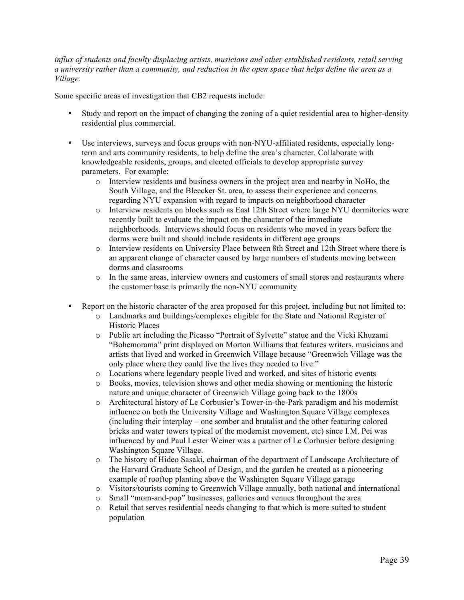*influx of students and faculty displacing artists, musicians and other established residents, retail serving a university rather than a community, and reduction in the open space that helps define the area as a Village.*

Some specific areas of investigation that CB2 requests include:

- Study and report on the impact of changing the zoning of a quiet residential area to higher-density residential plus commercial.
- Use interviews, surveys and focus groups with non-NYU-affiliated residents, especially longterm and arts community residents, to help define the area's character. Collaborate with knowledgeable residents, groups, and elected officials to develop appropriate survey parameters. For example:
	- o Interview residents and business owners in the project area and nearby in NoHo, the South Village, and the Bleecker St. area, to assess their experience and concerns regarding NYU expansion with regard to impacts on neighborhood character
	- o Interview residents on blocks such as East 12th Street where large NYU dormitories were recently built to evaluate the impact on the character of the immediate neighborhoods. Interviews should focus on residents who moved in years before the dorms were built and should include residents in different age groups
	- o Interview residents on University Place between 8th Street and 12th Street where there is an apparent change of character caused by large numbers of students moving between dorms and classrooms
	- o In the same areas, interview owners and customers of small stores and restaurants where the customer base is primarily the non-NYU community
- Report on the historic character of the area proposed for this project, including but not limited to:
	- o Landmarks and buildings/complexes eligible for the State and National Register of Historic Places
	- o Public art including the Picasso "Portrait of Sylvette" statue and the Vicki Khuzami "Bohemorama" print displayed on Morton Williams that features writers, musicians and artists that lived and worked in Greenwich Village because "Greenwich Village was the only place where they could live the lives they needed to live."
	- o Locations where legendary people lived and worked, and sites of historic events
	- o Books, movies, television shows and other media showing or mentioning the historic nature and unique character of Greenwich Village going back to the 1800s
	- o Architectural history of Le Corbusier's Tower-in-the-Park paradigm and his modernist influence on both the University Village and Washington Square Village complexes (including their interplay – one somber and brutalist and the other featuring colored bricks and water towers typical of the modernist movement, etc) since I.M. Pei was influenced by and Paul Lester Weiner was a partner of Le Corbusier before designing Washington Square Village.
	- o The history of Hideo Sasaki, chairman of the department of Landscape Architecture of the Harvard Graduate School of Design, and the garden he created as a pioneering example of rooftop planting above the Washington Square Village garage
	- o Visitors/tourists coming to Greenwich Village annually, both national and international
	- o Small "mom-and-pop" businesses, galleries and venues throughout the area
	- o Retail that serves residential needs changing to that which is more suited to student population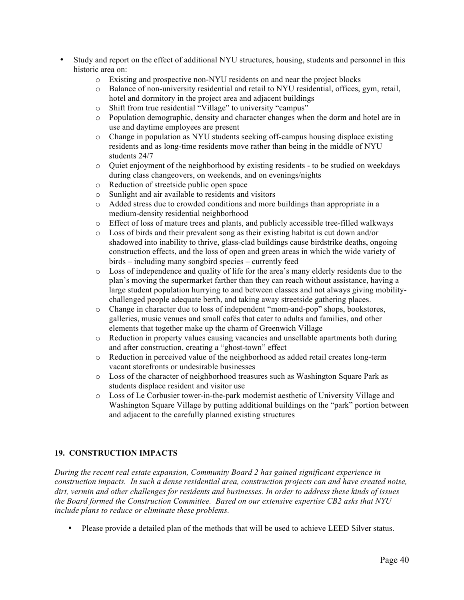- Study and report on the effect of additional NYU structures, housing, students and personnel in this historic area on:
	- o Existing and prospective non-NYU residents on and near the project blocks
	- o Balance of non-university residential and retail to NYU residential, offices, gym, retail, hotel and dormitory in the project area and adjacent buildings
	- o Shift from true residential "Village" to university "campus"
	- o Population demographic, density and character changes when the dorm and hotel are in use and daytime employees are present
	- o Change in population as NYU students seeking off-campus housing displace existing residents and as long-time residents move rather than being in the middle of NYU students 24/7
	- $\circ$  Quiet enjoyment of the neighborhood by existing residents to be studied on weekdays during class changeovers, on weekends, and on evenings/nights
	- o Reduction of streetside public open space
	- o Sunlight and air available to residents and visitors
	- o Added stress due to crowded conditions and more buildings than appropriate in a medium-density residential neighborhood
	- o Effect of loss of mature trees and plants, and publicly accessible tree-filled walkways
	- o Loss of birds and their prevalent song as their existing habitat is cut down and/or shadowed into inability to thrive, glass-clad buildings cause birdstrike deaths, ongoing construction effects, and the loss of open and green areas in which the wide variety of birds – including many songbird species – currently feed
	- o Loss of independence and quality of life for the area's many elderly residents due to the plan's moving the supermarket farther than they can reach without assistance, having a large student population hurrying to and between classes and not always giving mobilitychallenged people adequate berth, and taking away streetside gathering places.
	- o Change in character due to loss of independent "mom-and-pop" shops, bookstores, galleries, music venues and small cafés that cater to adults and families, and other elements that together make up the charm of Greenwich Village
	- o Reduction in property values causing vacancies and unsellable apartments both during and after construction, creating a "ghost-town" effect
	- o Reduction in perceived value of the neighborhood as added retail creates long-term vacant storefronts or undesirable businesses
	- o Loss of the character of neighborhood treasures such as Washington Square Park as students displace resident and visitor use
	- o Loss of Le Corbusier tower-in-the-park modernist aesthetic of University Village and Washington Square Village by putting additional buildings on the "park" portion between and adjacent to the carefully planned existing structures

# **19. CONSTRUCTION IMPACTS**

*During the recent real estate expansion, Community Board 2 has gained significant experience in construction impacts. In such a dense residential area, construction projects can and have created noise, dirt, vermin and other challenges for residents and businesses. In order to address these kinds of issues the Board formed the Construction Committee. Based on our extensive expertise CB2 asks that NYU include plans to reduce or eliminate these problems.*

• Please provide a detailed plan of the methods that will be used to achieve LEED Silver status.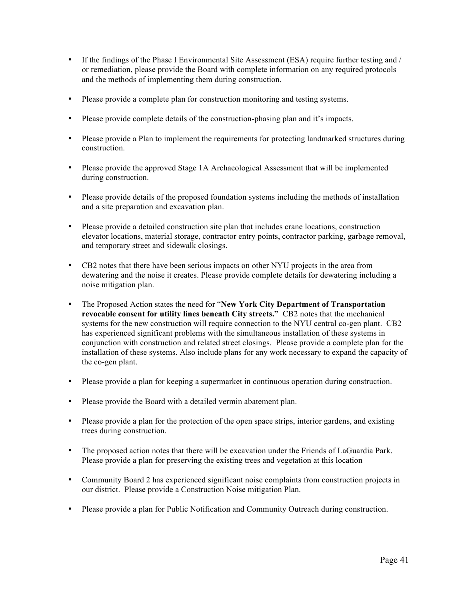- If the findings of the Phase I Environmental Site Assessment (ESA) require further testing and / or remediation, please provide the Board with complete information on any required protocols and the methods of implementing them during construction.
- Please provide a complete plan for construction monitoring and testing systems.
- Please provide complete details of the construction-phasing plan and it's impacts.
- Please provide a Plan to implement the requirements for protecting landmarked structures during construction.
- Please provide the approved Stage 1A Archaeological Assessment that will be implemented during construction.
- Please provide details of the proposed foundation systems including the methods of installation and a site preparation and excavation plan.
- Please provide a detailed construction site plan that includes crane locations, construction elevator locations, material storage, contractor entry points, contractor parking, garbage removal, and temporary street and sidewalk closings.
- CB2 notes that there have been serious impacts on other NYU projects in the area from dewatering and the noise it creates. Please provide complete details for dewatering including a noise mitigation plan.
- The Proposed Action states the need for "**New York City Department of Transportation revocable consent for utility lines beneath City streets."** CB2 notes that the mechanical systems for the new construction will require connection to the NYU central co-gen plant. CB2 has experienced significant problems with the simultaneous installation of these systems in conjunction with construction and related street closings. Please provide a complete plan for the installation of these systems. Also include plans for any work necessary to expand the capacity of the co-gen plant.
- Please provide a plan for keeping a supermarket in continuous operation during construction.
- Please provide the Board with a detailed vermin abatement plan.
- Please provide a plan for the protection of the open space strips, interior gardens, and existing trees during construction.
- The proposed action notes that there will be excavation under the Friends of LaGuardia Park. Please provide a plan for preserving the existing trees and vegetation at this location
- Community Board 2 has experienced significant noise complaints from construction projects in our district. Please provide a Construction Noise mitigation Plan.
- Please provide a plan for Public Notification and Community Outreach during construction.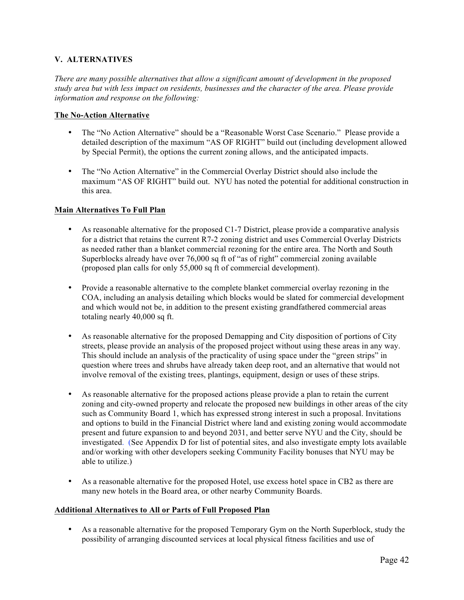## **V. ALTERNATIVES**

*There are many possible alternatives that allow a significant amount of development in the proposed study area but with less impact on residents, businesses and the character of the area. Please provide information and response on the following:*

## **The No-Action Alternative**

- The "No Action Alternative" should be a "Reasonable Worst Case Scenario." Please provide a detailed description of the maximum "AS OF RIGHT" build out (including development allowed by Special Permit), the options the current zoning allows, and the anticipated impacts.
- The "No Action Alternative" in the Commercial Overlay District should also include the maximum "AS OF RIGHT" build out. NYU has noted the potential for additional construction in this area.

## **Main Alternatives To Full Plan**

- As reasonable alternative for the proposed C1-7 District, please provide a comparative analysis for a district that retains the current R7-2 zoning district and uses Commercial Overlay Districts as needed rather than a blanket commercial rezoning for the entire area. The North and South Superblocks already have over 76,000 sq ft of "as of right" commercial zoning available (proposed plan calls for only 55,000 sq ft of commercial development).
- Provide a reasonable alternative to the complete blanket commercial overlay rezoning in the COA, including an analysis detailing which blocks would be slated for commercial development and which would not be, in addition to the present existing grandfathered commercial areas totaling nearly 40,000 sq ft.
- As reasonable alternative for the proposed Demapping and City disposition of portions of City streets, please provide an analysis of the proposed project without using these areas in any way. This should include an analysis of the practicality of using space under the "green strips" in question where trees and shrubs have already taken deep root, and an alternative that would not involve removal of the existing trees, plantings, equipment, design or uses of these strips.
- As reasonable alternative for the proposed actions please provide a plan to retain the current zoning and city-owned property and relocate the proposed new buildings in other areas of the city such as Community Board 1, which has expressed strong interest in such a proposal. Invitations and options to build in the Financial District where land and existing zoning would accommodate present and future expansion to and beyond 2031, and better serve NYU and the City, should be investigated. (See Appendix D for list of potential sites, and also investigate empty lots available and/or working with other developers seeking Community Facility bonuses that NYU may be able to utilize.)
- As a reasonable alternative for the proposed Hotel, use excess hotel space in CB2 as there are many new hotels in the Board area, or other nearby Community Boards.

## **Additional Alternatives to All or Parts of Full Proposed Plan**

• As a reasonable alternative for the proposed Temporary Gym on the North Superblock, study the possibility of arranging discounted services at local physical fitness facilities and use of